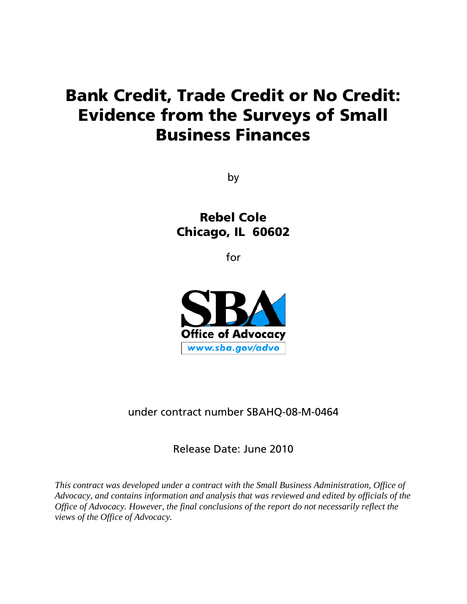# Bank Credit, Trade Credit or No Credit: Evidence from the Surveys of Small Business Finances

by

Rebel Cole Chicago, IL 60602

for



# under contract number SBAHQ-08-M-0464

Release Date: June 2010

*This contract was developed under a contract with the Small Business Administration, Office of Advocacy, and contains information and analysis that was reviewed and edited by officials of the Office of Advocacy. However, the final conclusions of the report do not necessarily reflect the views of the Office of Advocacy.*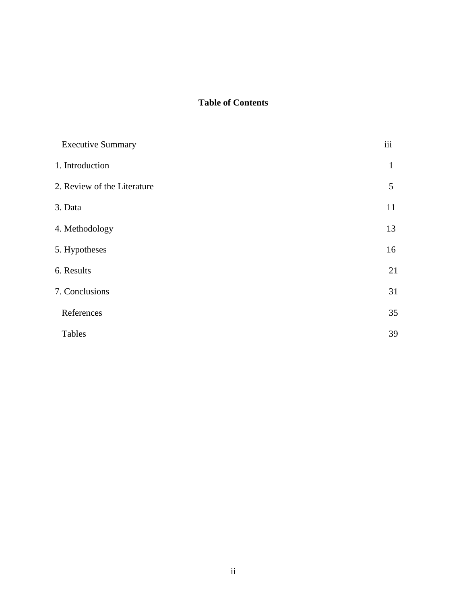# **Table of Contents**

| <b>Executive Summary</b>    | iii          |
|-----------------------------|--------------|
| 1. Introduction             | $\mathbf{1}$ |
| 2. Review of the Literature | 5            |
| 3. Data                     | 11           |
| 4. Methodology              | 13           |
| 5. Hypotheses               | 16           |
| 6. Results                  | 21           |
| 7. Conclusions              | 31           |
| References                  | 35           |
| Tables                      | 39           |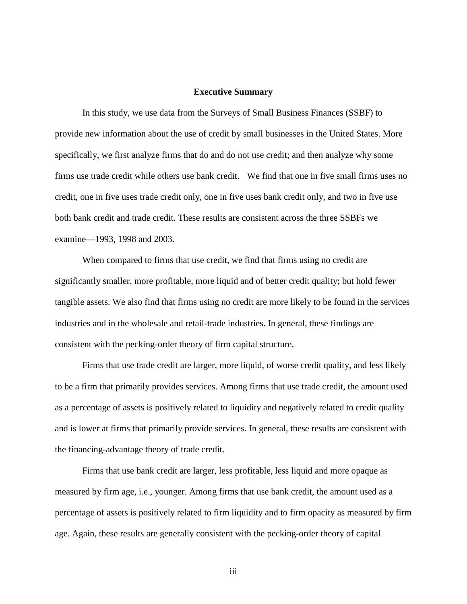#### **Executive Summary**

<span id="page-2-0"></span>In this study, we use data from the Surveys of Small Business Finances (SSBF) to provide new information about the use of credit by small businesses in the United States. More specifically, we first analyze firms that do and do not use credit; and then analyze why some firms use trade credit while others use bank credit. We find that one in five small firms uses no credit, one in five uses trade credit only, one in five uses bank credit only, and two in five use both bank credit and trade credit. These results are consistent across the three SSBFs we examine—1993, 1998 and 2003.

When compared to firms that use credit, we find that firms using no credit are significantly smaller, more profitable, more liquid and of better credit quality; but hold fewer tangible assets. We also find that firms using no credit are more likely to be found in the services industries and in the wholesale and retail-trade industries. In general, these findings are consistent with the pecking-order theory of firm capital structure.

Firms that use trade credit are larger, more liquid, of worse credit quality, and less likely to be a firm that primarily provides services. Among firms that use trade credit, the amount used as a percentage of assets is positively related to liquidity and negatively related to credit quality and is lower at firms that primarily provide services. In general, these results are consistent with the financing-advantage theory of trade credit.

Firms that use bank credit are larger, less profitable, less liquid and more opaque as measured by firm age, i.e., younger. Among firms that use bank credit, the amount used as a percentage of assets is positively related to firm liquidity and to firm opacity as measured by firm age. Again, these results are generally consistent with the pecking-order theory of capital

iii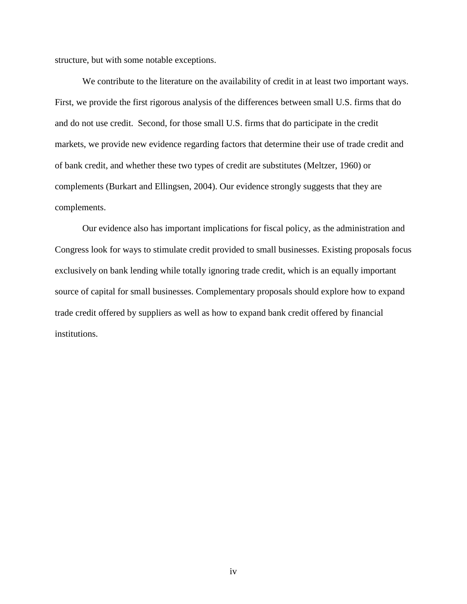structure, but with some notable exceptions.

We contribute to the literature on the availability of credit in at least two important ways. First, we provide the first rigorous analysis of the differences between small U.S. firms that do and do not use credit. Second, for those small U.S. firms that do participate in the credit markets, we provide new evidence regarding factors that determine their use of trade credit and of bank credit, and whether these two types of credit are substitutes (Meltzer, 1960) or complements (Burkart and Ellingsen, 2004). Our evidence strongly suggests that they are complements.

Our evidence also has important implications for fiscal policy, as the administration and Congress look for ways to stimulate credit provided to small businesses. Existing proposals focus exclusively on bank lending while totally ignoring trade credit, which is an equally important source of capital for small businesses. Complementary proposals should explore how to expand trade credit offered by suppliers as well as how to expand bank credit offered by financial institutions.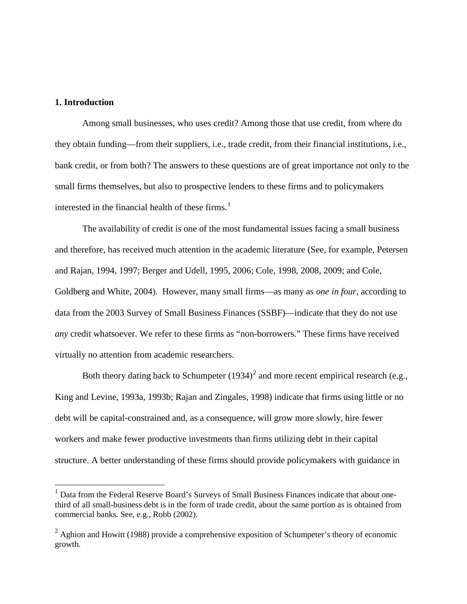# <span id="page-4-0"></span>**1. Introduction**

Among small businesses, who uses credit? Among those that use credit, from where do they obtain funding—from their suppliers, i.e., trade credit, from their financial institutions, i.e., bank credit, or from both? The answers to these questions are of great importance not only to the small firms themselves, but also to prospective lenders to these firms and to policymakers interested in the financial health of these firms.<sup>[1](#page-4-1)</sup>

The availability of credit is one of the most fundamental issues facing a small business and therefore, has received much attention in the academic literature (See, for example, Petersen and Rajan, 1994, 1997; Berger and Udell, 1995, 2006; Cole, 1998, 2008, 2009; and Cole, Goldberg and White, 2004). However, many small firms—as many as *one in four*, according to data from the 2003 Survey of Small Business Finances (SSBF)—indicate that they do not use *any* credit whatsoever. We refer to these firms as "non-borrowers." These firms have received virtually no attention from academic researchers.

Both theory dating back to Schumpeter  $(1934)^2$  $(1934)^2$  and more recent empirical research (e.g., King and Levine, 1993a, 1993b; Rajan and Zingales, 1998) indicate that firms using little or no debt will be capital-constrained and, as a consequence, will grow more slowly, hire fewer workers and make fewer productive investments than firms utilizing debt in their capital structure. A better understanding of these firms should provide policymakers with guidance in

<span id="page-4-1"></span><sup>&</sup>lt;sup>1</sup> Data from the Federal Reserve Board's Surveys of Small Business Finances indicate that about onethird of all small-business debt is in the form of trade credit, about the same portion as is obtained from commercial banks. See, e.g., Robb (2002).

<span id="page-4-2"></span> $2 \text{ Aghion}$  and Howitt (1988) provide a comprehensive exposition of Schumpeter's theory of economic growth.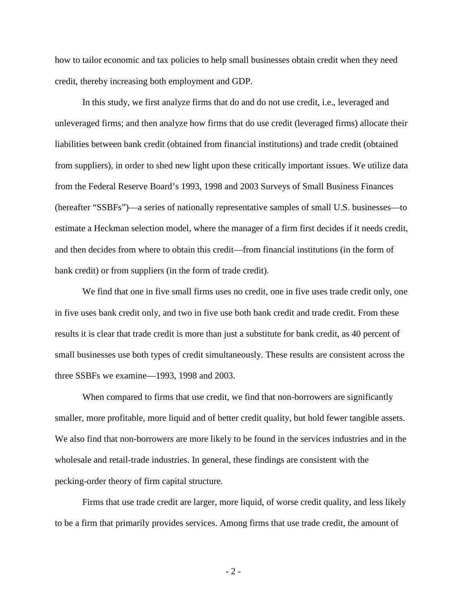how to tailor economic and tax policies to help small businesses obtain credit when they need credit, thereby increasing both employment and GDP.

In this study, we first analyze firms that do and do not use credit, i.e., leveraged and unleveraged firms; and then analyze how firms that do use credit (leveraged firms) allocate their liabilities between bank credit (obtained from financial institutions) and trade credit (obtained from suppliers), in order to shed new light upon these critically important issues. We utilize data from the Federal Reserve Board's 1993, 1998 and 2003 Surveys of Small Business Finances (hereafter "SSBFs")—a series of nationally representative samples of small U.S. businesses—to estimate a Heckman selection model, where the manager of a firm first decides if it needs credit, and then decides from where to obtain this credit—from financial institutions (in the form of bank credit) or from suppliers (in the form of trade credit).

We find that one in five small firms uses no credit, one in five uses trade credit only, one in five uses bank credit only, and two in five use both bank credit and trade credit. From these results it is clear that trade credit is more than just a substitute for bank credit, as 40 percent of small businesses use both types of credit simultaneously. These results are consistent across the three SSBFs we examine—1993, 1998 and 2003.

When compared to firms that use credit, we find that non-borrowers are significantly smaller, more profitable, more liquid and of better credit quality, but hold fewer tangible assets. We also find that non-borrowers are more likely to be found in the services industries and in the wholesale and retail-trade industries. In general, these findings are consistent with the pecking-order theory of firm capital structure.

Firms that use trade credit are larger, more liquid, of worse credit quality, and less likely to be a firm that primarily provides services. Among firms that use trade credit, the amount of

- 2 -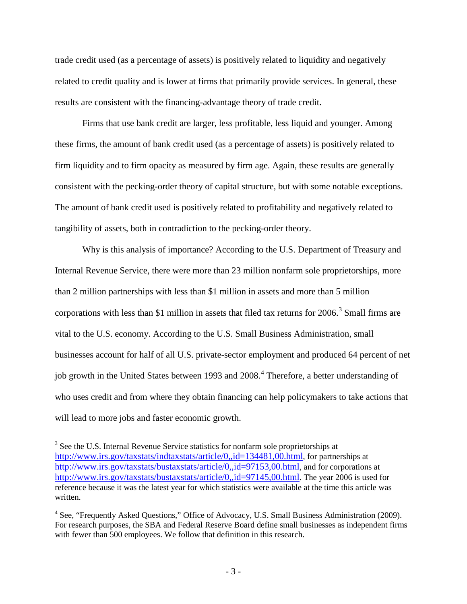trade credit used (as a percentage of assets) is positively related to liquidity and negatively related to credit quality and is lower at firms that primarily provide services. In general, these results are consistent with the financing-advantage theory of trade credit.

Firms that use bank credit are larger, less profitable, less liquid and younger. Among these firms, the amount of bank credit used (as a percentage of assets) is positively related to firm liquidity and to firm opacity as measured by firm age. Again, these results are generally consistent with the pecking-order theory of capital structure, but with some notable exceptions. The amount of bank credit used is positively related to profitability and negatively related to tangibility of assets, both in contradiction to the pecking-order theory.

Why is this analysis of importance? According to the U.S. Department of Treasury and Internal Revenue Service, there were more than 23 million nonfarm sole proprietorships, more than 2 million partnerships with less than \$1 million in assets and more than 5 million corporations with less than \$1 million in assets that filed tax returns for  $2006$ .<sup>[3](#page-6-0)</sup> Small firms are vital to the U.S. economy. According to the U.S. Small Business Administration, small businesses account for half of all U.S. private-sector employment and produced 64 percent of net job growth in the United States between 1993 and 2008.<sup>[4](#page-6-1)</sup> Therefore, a better understanding of who uses credit and from where they obtain financing can help policymakers to take actions that will lead to more jobs and faster economic growth.

<span id="page-6-0"></span><sup>&</sup>lt;sup>3</sup> See the U.S. Internal Revenue Service statistics for nonfarm sole proprietorships at [http://www.irs.gov/taxstats/indtaxstats/article/0,,id=134481,00.html,](http://www.irs.gov/taxstats/indtaxstats/article/0,,id=134481,00.html) for partnerships at [http://www.irs.gov/taxstats/bustaxstats/article/0,,id=97153,00.html,](http://www.irs.gov/taxstats/bustaxstats/article/0,,id=97153,00.html) and for corporations at [http://www.irs.gov/taxstats/bustaxstats/article/0,,id=97145,00.html.](http://www.irs.gov/taxstats/bustaxstats/article/0,,id=97145,00.html) The year 2006 is used for reference because it was the latest year for which statistics were available at the time this article was written.

<span id="page-6-1"></span><sup>&</sup>lt;sup>4</sup> See, "Frequently Asked Questions," Office of Advocacy, U.S. Small Business Administration (2009). For research purposes, the SBA and Federal Reserve Board define small businesses as independent firms with fewer than 500 employees. We follow that definition in this research.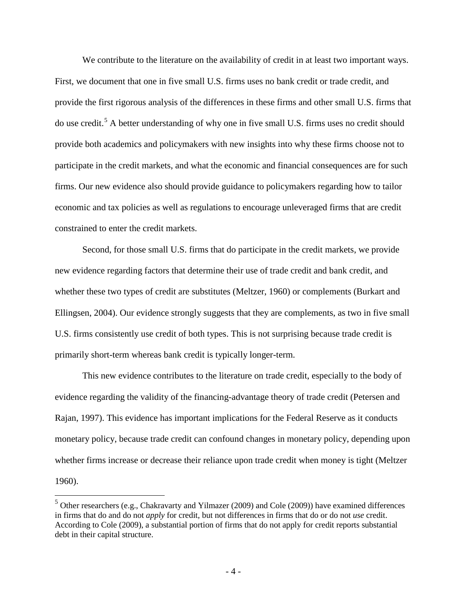We contribute to the literature on the availability of credit in at least two important ways. First, we document that one in five small U.S. firms uses no bank credit or trade credit, and provide the first rigorous analysis of the differences in these firms and other small U.S. firms that do use credit.<sup>[5](#page-7-0)</sup> A better understanding of why one in five small U.S. firms uses no credit should provide both academics and policymakers with new insights into why these firms choose not to participate in the credit markets, and what the economic and financial consequences are for such firms. Our new evidence also should provide guidance to policymakers regarding how to tailor economic and tax policies as well as regulations to encourage unleveraged firms that are credit constrained to enter the credit markets.

Second, for those small U.S. firms that do participate in the credit markets, we provide new evidence regarding factors that determine their use of trade credit and bank credit, and whether these two types of credit are substitutes (Meltzer, 1960) or complements (Burkart and Ellingsen, 2004). Our evidence strongly suggests that they are complements, as two in five small U.S. firms consistently use credit of both types. This is not surprising because trade credit is primarily short-term whereas bank credit is typically longer-term.

This new evidence contributes to the literature on trade credit, especially to the body of evidence regarding the validity of the financing-advantage theory of trade credit (Petersen and Rajan, 1997). This evidence has important implications for the Federal Reserve as it conducts monetary policy, because trade credit can confound changes in monetary policy, depending upon whether firms increase or decrease their reliance upon trade credit when money is tight (Meltzer 1960).

<span id="page-7-0"></span> $5$  Other researchers (e.g., Chakravarty and Yilmazer (2009) and Cole (2009)) have examined differences in firms that do and do not *apply* for credit, but not differences in firms that do or do not *use* credit. According to Cole (2009), a substantial portion of firms that do not apply for credit reports substantial debt in their capital structure.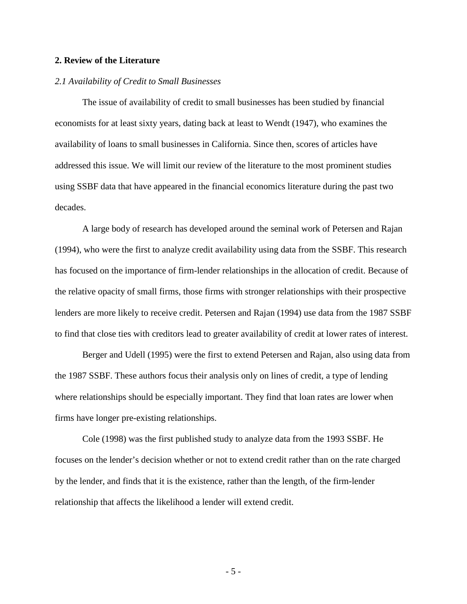## <span id="page-8-0"></span>**2. Review of the Literature**

## *2.1 Availability of Credit to Small Businesses*

The issue of availability of credit to small businesses has been studied by financial economists for at least sixty years, dating back at least to Wendt (1947), who examines the availability of loans to small businesses in California. Since then, scores of articles have addressed this issue. We will limit our review of the literature to the most prominent studies using SSBF data that have appeared in the financial economics literature during the past two decades.

A large body of research has developed around the seminal work of Petersen and Rajan (1994), who were the first to analyze credit availability using data from the SSBF. This research has focused on the importance of firm-lender relationships in the allocation of credit. Because of the relative opacity of small firms, those firms with stronger relationships with their prospective lenders are more likely to receive credit. Petersen and Rajan (1994) use data from the 1987 SSBF to find that close ties with creditors lead to greater availability of credit at lower rates of interest.

Berger and Udell (1995) were the first to extend Petersen and Rajan, also using data from the 1987 SSBF. These authors focus their analysis only on lines of credit, a type of lending where relationships should be especially important. They find that loan rates are lower when firms have longer pre-existing relationships.

Cole (1998) was the first published study to analyze data from the 1993 SSBF. He focuses on the lender's decision whether or not to extend credit rather than on the rate charged by the lender, and finds that it is the existence, rather than the length, of the firm-lender relationship that affects the likelihood a lender will extend credit.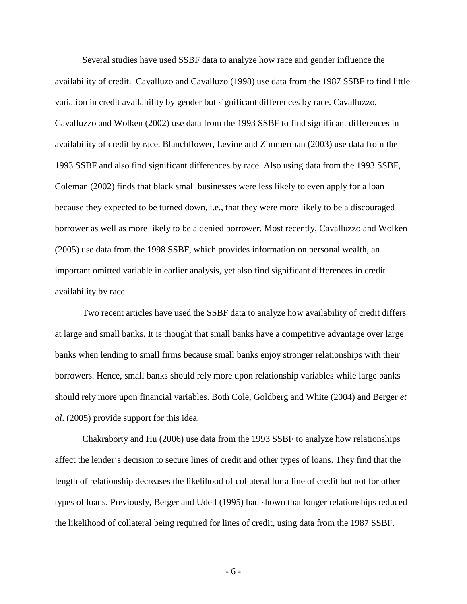Several studies have used SSBF data to analyze how race and gender influence the availability of credit. Cavalluzo and Cavalluzo (1998) use data from the 1987 SSBF to find little variation in credit availability by gender but significant differences by race. Cavalluzzo, Cavalluzzo and Wolken (2002) use data from the 1993 SSBF to find significant differences in availability of credit by race. Blanchflower, Levine and Zimmerman (2003) use data from the 1993 SSBF and also find significant differences by race. Also using data from the 1993 SSBF, Coleman (2002) finds that black small businesses were less likely to even apply for a loan because they expected to be turned down, i.e., that they were more likely to be a discouraged borrower as well as more likely to be a denied borrower. Most recently, Cavalluzzo and Wolken (2005) use data from the 1998 SSBF, which provides information on personal wealth, an important omitted variable in earlier analysis, yet also find significant differences in credit availability by race.

Two recent articles have used the SSBF data to analyze how availability of credit differs at large and small banks. It is thought that small banks have a competitive advantage over large banks when lending to small firms because small banks enjoy stronger relationships with their borrowers. Hence, small banks should rely more upon relationship variables while large banks should rely more upon financial variables. Both Cole, Goldberg and White (2004) and Berger *et al*. (2005) provide support for this idea.

Chakraborty and Hu (2006) use data from the 1993 SSBF to analyze how relationships affect the lender's decision to secure lines of credit and other types of loans. They find that the length of relationship decreases the likelihood of collateral for a line of credit but not for other types of loans. Previously, Berger and Udell (1995) had shown that longer relationships reduced the likelihood of collateral being required for lines of credit, using data from the 1987 SSBF.

- 6 -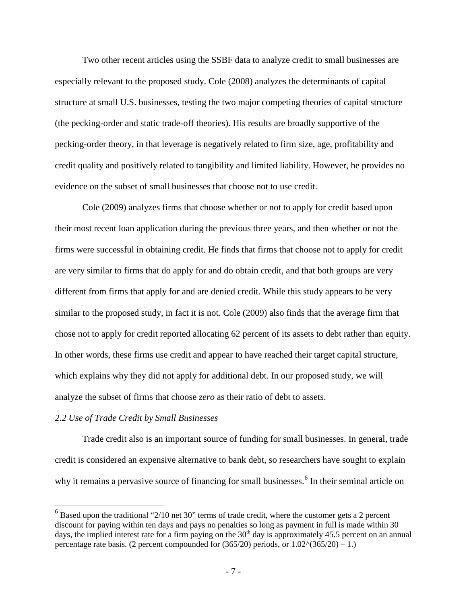Two other recent articles using the SSBF data to analyze credit to small businesses are especially relevant to the proposed study. Cole (2008) analyzes the determinants of capital structure at small U.S. businesses, testing the two major competing theories of capital structure (the pecking-order and static trade-off theories). His results are broadly supportive of the pecking-order theory, in that leverage is negatively related to firm size, age, profitability and credit quality and positively related to tangibility and limited liability. However, he provides no evidence on the subset of small businesses that choose not to use credit.

Cole (2009) analyzes firms that choose whether or not to apply for credit based upon their most recent loan application during the previous three years, and then whether or not the firms were successful in obtaining credit. He finds that firms that choose not to apply for credit are very similar to firms that do apply for and do obtain credit, and that both groups are very different from firms that apply for and are denied credit. While this study appears to be very similar to the proposed study, in fact it is not. Cole (2009) also finds that the average firm that chose not to apply for credit reported allocating 62 percent of its assets to debt rather than equity. In other words, these firms use credit and appear to have reached their target capital structure, which explains why they did not apply for additional debt. In our proposed study, we will analyze the subset of firms that choose *zero* as their ratio of debt to assets.

# *2.2 Use of Trade Credit by Small Businesses*

Trade credit also is an important source of funding for small businesses. In general, trade credit is considered an expensive alternative to bank debt, so researchers have sought to explain why it remains a pervasive source of financing for small businesses.<sup>[6](#page-10-0)</sup> In their seminal article on

<span id="page-10-0"></span> $6$  Based upon the traditional "2/10 net 30" terms of trade credit, where the customer gets a 2 percent discount for paying within ten days and pays no penalties so long as payment in full is made within 30 days, the implied interest rate for a firm paying on the  $30<sup>th</sup>$  day is approximately 45.5 percent on an annual percentage rate basis. (2 percent compounded for  $(365/20)$  periods, or  $1.02 \times (365/20) - 1.$ )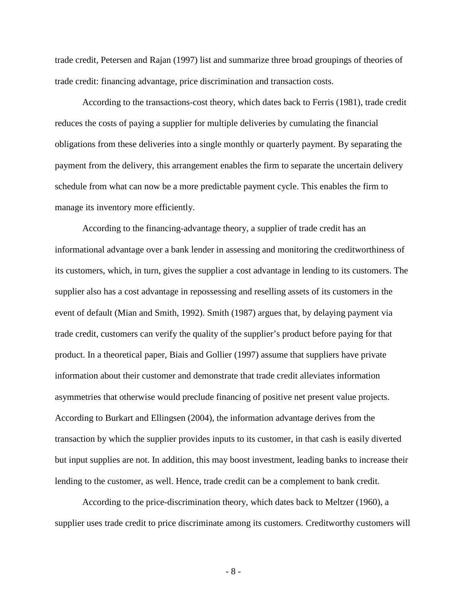trade credit, Petersen and Rajan (1997) list and summarize three broad groupings of theories of trade credit: financing advantage, price discrimination and transaction costs.

According to the transactions-cost theory, which dates back to Ferris (1981), trade credit reduces the costs of paying a supplier for multiple deliveries by cumulating the financial obligations from these deliveries into a single monthly or quarterly payment. By separating the payment from the delivery, this arrangement enables the firm to separate the uncertain delivery schedule from what can now be a more predictable payment cycle. This enables the firm to manage its inventory more efficiently.

According to the financing-advantage theory, a supplier of trade credit has an informational advantage over a bank lender in assessing and monitoring the creditworthiness of its customers, which, in turn, gives the supplier a cost advantage in lending to its customers. The supplier also has a cost advantage in repossessing and reselling assets of its customers in the event of default (Mian and Smith, 1992). Smith (1987) argues that, by delaying payment via trade credit, customers can verify the quality of the supplier's product before paying for that product. In a theoretical paper, Biais and Gollier (1997) assume that suppliers have private information about their customer and demonstrate that trade credit alleviates information asymmetries that otherwise would preclude financing of positive net present value projects. According to Burkart and Ellingsen (2004), the information advantage derives from the transaction by which the supplier provides inputs to its customer, in that cash is easily diverted but input supplies are not. In addition, this may boost investment, leading banks to increase their lending to the customer, as well. Hence, trade credit can be a complement to bank credit.

According to the price-discrimination theory, which dates back to Meltzer (1960), a supplier uses trade credit to price discriminate among its customers. Creditworthy customers will

- 8 -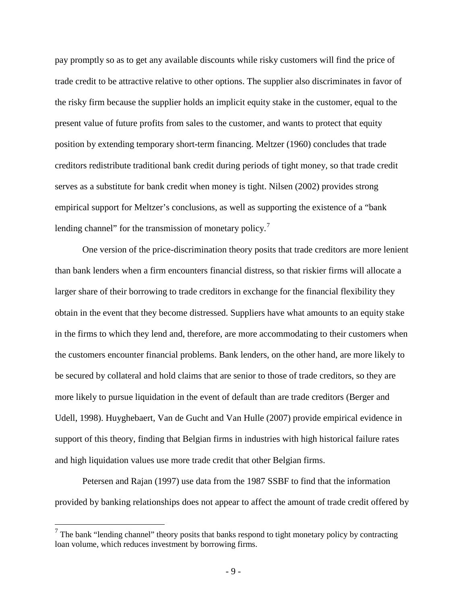pay promptly so as to get any available discounts while risky customers will find the price of trade credit to be attractive relative to other options. The supplier also discriminates in favor of the risky firm because the supplier holds an implicit equity stake in the customer, equal to the present value of future profits from sales to the customer, and wants to protect that equity position by extending temporary short-term financing. Meltzer (1960) concludes that trade creditors redistribute traditional bank credit during periods of tight money, so that trade credit serves as a substitute for bank credit when money is tight. Nilsen (2002) provides strong empirical support for Meltzer's conclusions, as well as supporting the existence of a "bank lending channel" for the transmission of monetary policy.<sup>[7](#page-12-0)</sup>

One version of the price-discrimination theory posits that trade creditors are more lenient than bank lenders when a firm encounters financial distress, so that riskier firms will allocate a larger share of their borrowing to trade creditors in exchange for the financial flexibility they obtain in the event that they become distressed. Suppliers have what amounts to an equity stake in the firms to which they lend and, therefore, are more accommodating to their customers when the customers encounter financial problems. Bank lenders, on the other hand, are more likely to be secured by collateral and hold claims that are senior to those of trade creditors, so they are more likely to pursue liquidation in the event of default than are trade creditors (Berger and Udell, 1998). Huyghebaert, Van de Gucht and Van Hulle (2007) provide empirical evidence in support of this theory, finding that Belgian firms in industries with high historical failure rates and high liquidation values use more trade credit that other Belgian firms.

Petersen and Rajan (1997) use data from the 1987 SSBF to find that the information provided by banking relationships does not appear to affect the amount of trade credit offered by

<span id="page-12-0"></span> $<sup>7</sup>$  The bank "lending channel" theory posits that banks respond to tight monetary policy by contracting</sup> loan volume, which reduces investment by borrowing firms.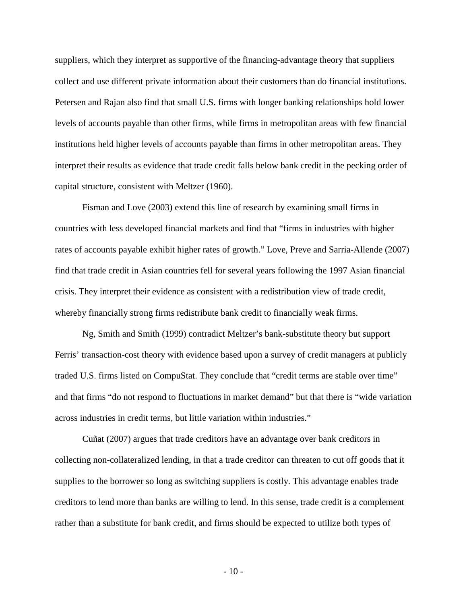suppliers, which they interpret as supportive of the financing-advantage theory that suppliers collect and use different private information about their customers than do financial institutions. Petersen and Rajan also find that small U.S. firms with longer banking relationships hold lower levels of accounts payable than other firms, while firms in metropolitan areas with few financial institutions held higher levels of accounts payable than firms in other metropolitan areas. They interpret their results as evidence that trade credit falls below bank credit in the pecking order of capital structure, consistent with Meltzer (1960).

Fisman and Love (2003) extend this line of research by examining small firms in countries with less developed financial markets and find that "firms in industries with higher rates of accounts payable exhibit higher rates of growth." Love, Preve and Sarria-Allende (2007) find that trade credit in Asian countries fell for several years following the 1997 Asian financial crisis. They interpret their evidence as consistent with a redistribution view of trade credit, whereby financially strong firms redistribute bank credit to financially weak firms.

Ng, Smith and Smith (1999) contradict Meltzer's bank-substitute theory but support Ferris' transaction-cost theory with evidence based upon a survey of credit managers at publicly traded U.S. firms listed on CompuStat. They conclude that "credit terms are stable over time" and that firms "do not respond to fluctuations in market demand" but that there is "wide variation across industries in credit terms, but little variation within industries."

Cuñat (2007) argues that trade creditors have an advantage over bank creditors in collecting non-collateralized lending, in that a trade creditor can threaten to cut off goods that it supplies to the borrower so long as switching suppliers is costly. This advantage enables trade creditors to lend more than banks are willing to lend. In this sense, trade credit is a complement rather than a substitute for bank credit, and firms should be expected to utilize both types of

- 10 -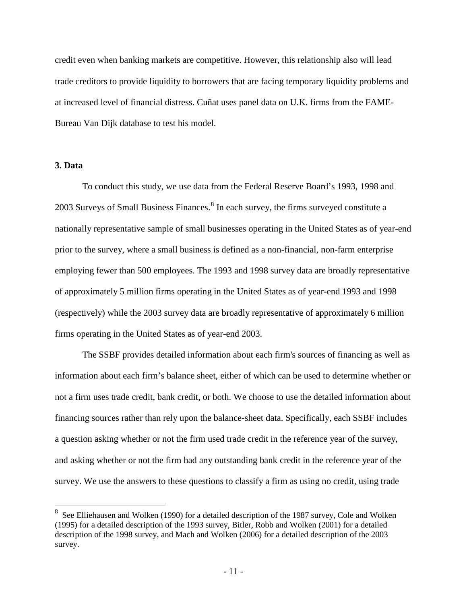<span id="page-14-0"></span>credit even when banking markets are competitive. However, this relationship also will lead trade creditors to provide liquidity to borrowers that are facing temporary liquidity problems and at increased level of financial distress. Cuñat uses panel data on U.K. firms from the FAME-Bureau Van Dijk database to test his model.

# **3. Data**

To conduct this study, we use data from the Federal Reserve Board's 1993, 1998 and 2003 Surveys of Small Business Finances.<sup>[8](#page-14-1)</sup> In each survey, the firms surveyed constitute a nationally representative sample of small businesses operating in the United States as of year-end prior to the survey, where a small business is defined as a non-financial, non-farm enterprise employing fewer than 500 employees. The 1993 and 1998 survey data are broadly representative of approximately 5 million firms operating in the United States as of year-end 1993 and 1998 (respectively) while the 2003 survey data are broadly representative of approximately 6 million firms operating in the United States as of year-end 2003.

The SSBF provides detailed information about each firm's sources of financing as well as information about each firm's balance sheet, either of which can be used to determine whether or not a firm uses trade credit, bank credit, or both. We choose to use the detailed information about financing sources rather than rely upon the balance-sheet data. Specifically, each SSBF includes a question asking whether or not the firm used trade credit in the reference year of the survey, and asking whether or not the firm had any outstanding bank credit in the reference year of the survey. We use the answers to these questions to classify a firm as using no credit, using trade

<span id="page-14-1"></span><sup>&</sup>lt;sup>8</sup> See Elliehausen and Wolken (1990) for a detailed description of the 1987 survey, Cole and Wolken (1995) for a detailed description of the 1993 survey, Bitler, Robb and Wolken (2001) for a detailed description of the 1998 survey, and Mach and Wolken (2006) for a detailed description of the 2003 survey.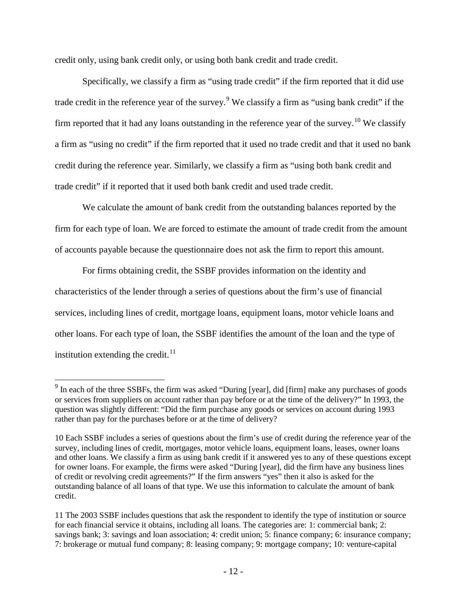credit only, using bank credit only, or using both bank credit and trade credit.

Specifically, we classify a firm as "using trade credit" if the firm reported that it did use trade credit in the reference year of the survey.<sup>[9](#page-15-0)</sup> We classify a firm as "using bank credit" if the firm reported that it had any loans outstanding in the reference year of the survey.<sup>[10](#page-15-1)</sup> We classify a firm as "using no credit" if the firm reported that it used no trade credit and that it used no bank credit during the reference year. Similarly, we classify a firm as "using both bank credit and trade credit" if it reported that it used both bank credit and used trade credit.

We calculate the amount of bank credit from the outstanding balances reported by the firm for each type of loan. We are forced to estimate the amount of trade credit from the amount of accounts payable because the questionnaire does not ask the firm to report this amount.

For firms obtaining credit, the SSBF provides information on the identity and characteristics of the lender through a series of questions about the firm's use of financial services, including lines of credit, mortgage loans, equipment loans, motor vehicle loans and other loans. For each type of loan, the SSBF identifies the amount of the loan and the type of institution extending the credit. $11$ 

<span id="page-15-0"></span><sup>&</sup>lt;sup>9</sup> In each of the three SSBFs, the firm was asked "During [year], did [firm] make any purchases of goods or services from suppliers on account rather than pay before or at the time of the delivery?" In 1993, the question was slightly different: "Did the firm purchase any goods or services on account during 1993 rather than pay for the purchases before or at the time of delivery?

<span id="page-15-1"></span><sup>10</sup> Each SSBF includes a series of questions about the firm's use of credit during the reference year of the survey, including lines of credit, mortgages, motor vehicle loans, equipment loans, leases, owner loans and other loans. We classify a firm as using bank credit if it answered yes to any of these questions except for owner loans. For example, the firms were asked "During [year], did the firm have any business lines of credit or revolving credit agreements?" If the firm answers "yes" then it also is asked for the outstanding balance of all loans of that type. We use this information to calculate the amount of bank credit.

<span id="page-15-2"></span><sup>11</sup> The 2003 SSBF includes questions that ask the respondent to identify the type of institution or source for each financial service it obtains, including all loans. The categories are: 1: commercial bank; 2: savings bank; 3: savings and loan association; 4: credit union; 5: finance company; 6: insurance company; 7: brokerage or mutual fund company; 8: leasing company; 9: mortgage company; 10: venture-capital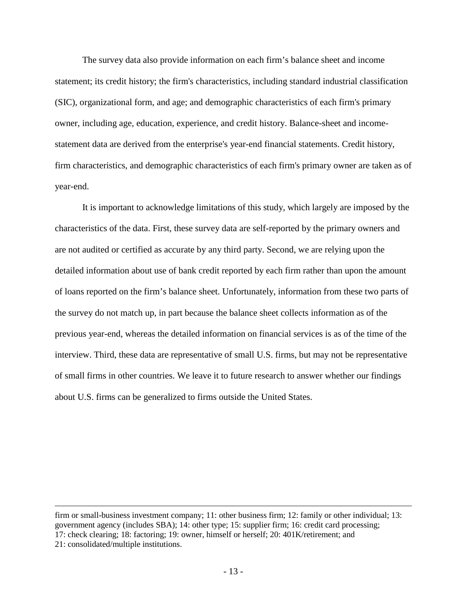The survey data also provide information on each firm's balance sheet and income statement; its credit history; the firm's characteristics, including standard industrial classification (SIC), organizational form, and age; and demographic characteristics of each firm's primary owner, including age, education, experience, and credit history. Balance-sheet and incomestatement data are derived from the enterprise's year-end financial statements. Credit history, firm characteristics, and demographic characteristics of each firm's primary owner are taken as of year-end.

It is important to acknowledge limitations of this study, which largely are imposed by the characteristics of the data. First, these survey data are self-reported by the primary owners and are not audited or certified as accurate by any third party. Second, we are relying upon the detailed information about use of bank credit reported by each firm rather than upon the amount of loans reported on the firm's balance sheet. Unfortunately, information from these two parts of the survey do not match up, in part because the balance sheet collects information as of the previous year-end, whereas the detailed information on financial services is as of the time of the interview. Third, these data are representative of small U.S. firms, but may not be representative of small firms in other countries. We leave it to future research to answer whether our findings about U.S. firms can be generalized to firms outside the United States.

 $\overline{a}$ 

firm or small-business investment company; 11: other business firm; 12: family or other individual; 13: government agency (includes SBA); 14: other type; 15: supplier firm; 16: credit card processing; 17: check clearing; 18: factoring; 19: owner, himself or herself; 20: 401K/retirement; and 21: consolidated/multiple institutions.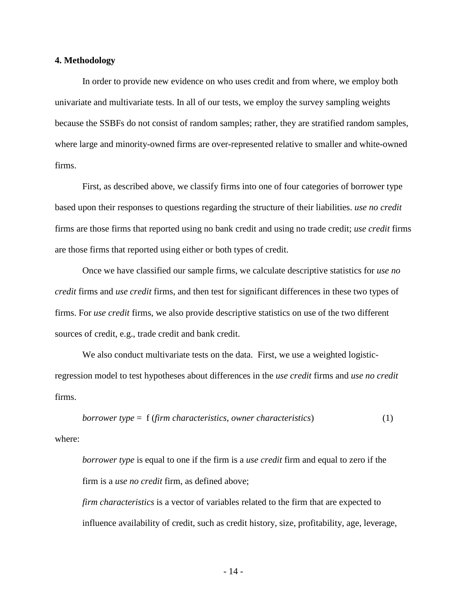#### <span id="page-17-0"></span>**4. Methodology**

In order to provide new evidence on who uses credit and from where, we employ both univariate and multivariate tests. In all of our tests, we employ the survey sampling weights because the SSBFs do not consist of random samples; rather, they are stratified random samples, where large and minority-owned firms are over-represented relative to smaller and white-owned firms.

First, as described above, we classify firms into one of four categories of borrower type based upon their responses to questions regarding the structure of their liabilities. *use no credit* firms are those firms that reported using no bank credit and using no trade credit; *use credit* firms are those firms that reported using either or both types of credit.

Once we have classified our sample firms, we calculate descriptive statistics for *use no credit* firms and *use credit* firms, and then test for significant differences in these two types of firms. For *use credit* firms, we also provide descriptive statistics on use of the two different sources of credit, e.g., trade credit and bank credit.

We also conduct multivariate tests on the data. First, we use a weighted logisticregression model to test hypotheses about differences in the *use credit* firms and *use no credit*  firms.

*borrower type* = 
$$
f
$$
 (*firm characteristics*, *owner characteristics*) 
$$
\qquad (1)
$$

where:

*borrower type* is equal to one if the firm is a *use credit* firm and equal to zero if the firm is a *use no credit* firm, as defined above;

*firm characteristics* is a vector of variables related to the firm that are expected to influence availability of credit, such as credit history, size, profitability, age, leverage,

- 14 -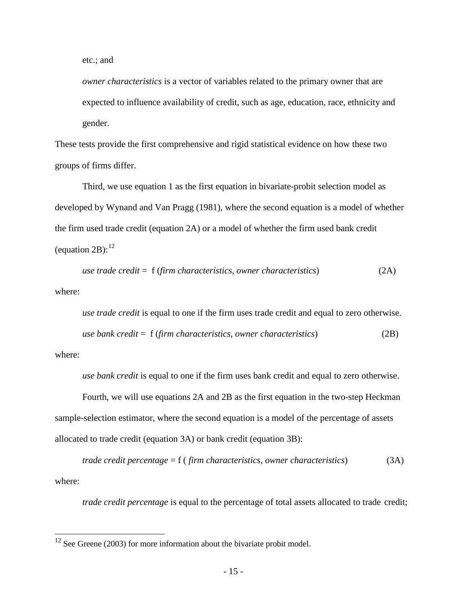etc.; and

*owner characteristics* is a vector of variables related to the primary owner that are expected to influence availability of credit, such as age, education, race, ethnicity and gender.

These tests provide the first comprehensive and rigid statistical evidence on how these two groups of firms differ.

Third, we use equation 1 as the first equation in bivariate-probit selection model as developed by Wynand and Van Pragg (1981), where the second equation is a model of whether the firm used trade credit (equation 2A) or a model of whether the firm used bank credit (equation 2B):  $^{12}$  $^{12}$  $^{12}$ 

*use trade credit* = f (*firm characteristics*, *owner characteristics*) (2A) where:

*use trade credit* is equal to one if the firm uses trade credit and equal to zero otherwise. *use bank credit* = f (*firm characteristics*, *owner characteristics*) (2B)

where:

*use bank credit* is equal to one if the firm uses bank credit and equal to zero otherwise.

Fourth, we will use equations 2A and 2B as the first equation in the two-step Heckman sample-selection estimator, where the second equation is a model of the percentage of assets allocated to trade credit (equation 3A) or bank credit (equation 3B):

*trade credit percentage* = f ( *firm characteristics*, *owner characteristics*) (3A) where:

*trade credit percentage* is equal to the percentage of total assets allocated to trade credit;

<span id="page-18-0"></span> $12$  See Greene (2003) for more information about the bivariate probit model.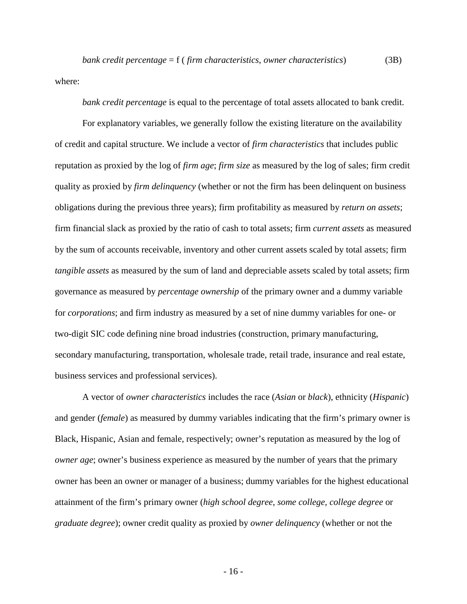where:

*bank credit percentage* is equal to the percentage of total assets allocated to bank credit.

For explanatory variables, we generally follow the existing literature on the availability of credit and capital structure. We include a vector of *firm characteristics* that includes public reputation as proxied by the log of *firm age*; *firm size* as measured by the log of sales; firm credit quality as proxied by *firm delinquency* (whether or not the firm has been delinquent on business obligations during the previous three years); firm profitability as measured by *return on assets*; firm financial slack as proxied by the ratio of cash to total assets; firm *current assets* as measured by the sum of accounts receivable, inventory and other current assets scaled by total assets; firm *tangible assets* as measured by the sum of land and depreciable assets scaled by total assets; firm governance as measured by *percentage ownership* of the primary owner and a dummy variable for *corporations*; and firm industry as measured by a set of nine dummy variables for one- or two-digit SIC code defining nine broad industries (construction, primary manufacturing, secondary manufacturing, transportation, wholesale trade, retail trade, insurance and real estate, business services and professional services).

A vector of *owner characteristics* includes the race (*Asian* or *black*), ethnicity (*Hispanic*) and gender (*female*) as measured by dummy variables indicating that the firm's primary owner is Black, Hispanic, Asian and female, respectively; owner's reputation as measured by the log of *owner age*; owner's business experience as measured by the number of years that the primary owner has been an owner or manager of a business; dummy variables for the highest educational attainment of the firm's primary owner (*high school degree*, *some college*, *college degree* or *graduate degree*); owner credit quality as proxied by *owner delinquency* (whether or not the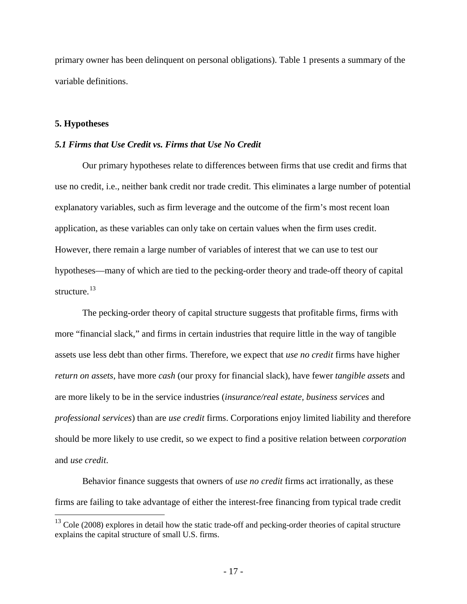<span id="page-20-0"></span>primary owner has been delinquent on personal obligations). Table 1 presents a summary of the variable definitions.

## **5. Hypotheses**

# *5.1 Firms that Use Credit vs. Firms that Use No Credit*

Our primary hypotheses relate to differences between firms that use credit and firms that use no credit, i.e., neither bank credit nor trade credit. This eliminates a large number of potential explanatory variables, such as firm leverage and the outcome of the firm's most recent loan application, as these variables can only take on certain values when the firm uses credit. However, there remain a large number of variables of interest that we can use to test our hypotheses—many of which are tied to the pecking-order theory and trade-off theory of capital structure.<sup>[13](#page-20-1)</sup>

The pecking-order theory of capital structure suggests that profitable firms, firms with more "financial slack," and firms in certain industries that require little in the way of tangible assets use less debt than other firms. Therefore, we expect that *use no credit* firms have higher *return on assets*, have more *cash* (our proxy for financial slack), have fewer *tangible assets* and are more likely to be in the service industries (*insurance/real estate, business services* and *professional services*) than are *use credit* firms. Corporations enjoy limited liability and therefore should be more likely to use credit, so we expect to find a positive relation between *corporation* and *use credit*.

Behavior finance suggests that owners of *use no credit* firms act irrationally, as these firms are failing to take advantage of either the interest-free financing from typical trade credit

<span id="page-20-1"></span><sup>&</sup>lt;sup>13</sup> Cole (2008) explores in detail how the static trade-off and pecking-order theories of capital structure explains the capital structure of small U.S. firms.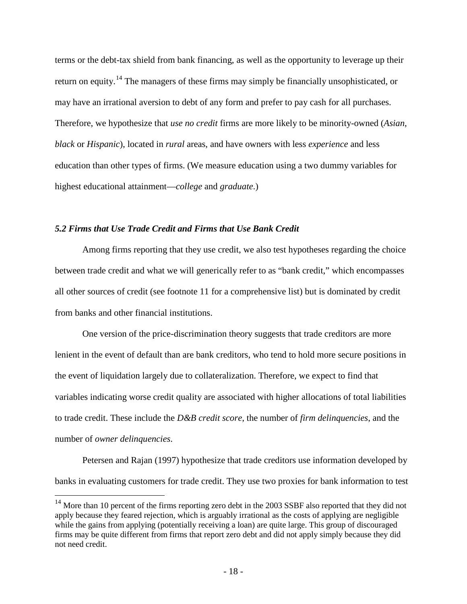terms or the debt-tax shield from bank financing, as well as the opportunity to leverage up their return on equity.<sup>[14](#page-21-0)</sup> The managers of these firms may simply be financially unsophisticated, or may have an irrational aversion to debt of any form and prefer to pay cash for all purchases. Therefore, we hypothesize that *use no credit* firms are more likely to be minority-owned (*Asian*, *black* or *Hispanic*), located in *rural* areas, and have owners with less *experience* and less education than other types of firms. (We measure education using a two dummy variables for highest educational attainment—*college* and *graduate*.)

# *5.2 Firms that Use Trade Credit and Firms that Use Bank Credit*

Among firms reporting that they use credit, we also test hypotheses regarding the choice between trade credit and what we will generically refer to as "bank credit," which encompasses all other sources of credit (see footnote 11 for a comprehensive list) but is dominated by credit from banks and other financial institutions.

One version of the price-discrimination theory suggests that trade creditors are more lenient in the event of default than are bank creditors, who tend to hold more secure positions in the event of liquidation largely due to collateralization. Therefore, we expect to find that variables indicating worse credit quality are associated with higher allocations of total liabilities to trade credit. These include the *D&B credit score*, the number of *firm delinquencies*, and the number of *owner delinquencies*.

Petersen and Rajan (1997) hypothesize that trade creditors use information developed by banks in evaluating customers for trade credit. They use two proxies for bank information to test

<span id="page-21-0"></span><sup>&</sup>lt;sup>14</sup> More than 10 percent of the firms reporting zero debt in the 2003 SSBF also reported that they did not apply because they feared rejection, which is arguably irrational as the costs of applying are negligible while the gains from applying (potentially receiving a loan) are quite large. This group of discouraged firms may be quite different from firms that report zero debt and did not apply simply because they did not need credit.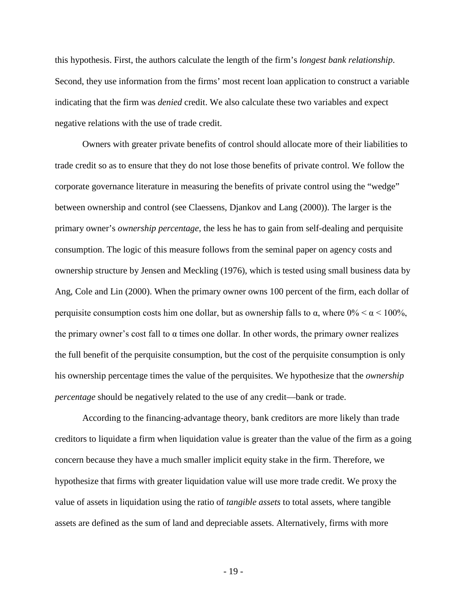this hypothesis. First, the authors calculate the length of the firm's *longest bank relationship*. Second, they use information from the firms' most recent loan application to construct a variable indicating that the firm was *denied* credit. We also calculate these two variables and expect negative relations with the use of trade credit.

Owners with greater private benefits of control should allocate more of their liabilities to trade credit so as to ensure that they do not lose those benefits of private control. We follow the corporate governance literature in measuring the benefits of private control using the "wedge" between ownership and control (see Claessens, Djankov and Lang (2000)). The larger is the primary owner's *ownership percentage*, the less he has to gain from self-dealing and perquisite consumption. The logic of this measure follows from the seminal paper on agency costs and ownership structure by Jensen and Meckling (1976), which is tested using small business data by Ang, Cole and Lin (2000). When the primary owner owns 100 percent of the firm, each dollar of perquisite consumption costs him one dollar, but as ownership falls to α, where  $0\% < \alpha < 100\%$ , the primary owner's cost fall to  $\alpha$  times one dollar. In other words, the primary owner realizes the full benefit of the perquisite consumption, but the cost of the perquisite consumption is only his ownership percentage times the value of the perquisites. We hypothesize that the *ownership percentage* should be negatively related to the use of any credit—bank or trade.

According to the financing-advantage theory, bank creditors are more likely than trade creditors to liquidate a firm when liquidation value is greater than the value of the firm as a going concern because they have a much smaller implicit equity stake in the firm. Therefore, we hypothesize that firms with greater liquidation value will use more trade credit. We proxy the value of assets in liquidation using the ratio of *tangible assets* to total assets, where tangible assets are defined as the sum of land and depreciable assets. Alternatively, firms with more

- 19 -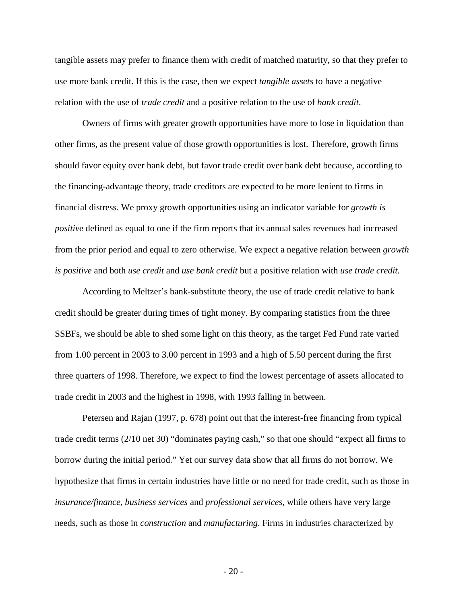tangible assets may prefer to finance them with credit of matched maturity, so that they prefer to use more bank credit. If this is the case, then we expect *tangible assets* to have a negative relation with the use of *trade credit* and a positive relation to the use of *bank credit*.

Owners of firms with greater growth opportunities have more to lose in liquidation than other firms, as the present value of those growth opportunities is lost. Therefore, growth firms should favor equity over bank debt, but favor trade credit over bank debt because, according to the financing-advantage theory, trade creditors are expected to be more lenient to firms in financial distress. We proxy growth opportunities using an indicator variable for *growth is positive* defined as equal to one if the firm reports that its annual sales revenues had increased from the prior period and equal to zero otherwise. We expect a negative relation between *growth is positive* and both *use credit* and *use bank credit* but a positive relation with *use trade credit.*

According to Meltzer's bank-substitute theory, the use of trade credit relative to bank credit should be greater during times of tight money. By comparing statistics from the three SSBFs, we should be able to shed some light on this theory, as the target Fed Fund rate varied from 1.00 percent in 2003 to 3.00 percent in 1993 and a high of 5.50 percent during the first three quarters of 1998. Therefore, we expect to find the lowest percentage of assets allocated to trade credit in 2003 and the highest in 1998, with 1993 falling in between.

Petersen and Rajan (1997, p. 678) point out that the interest-free financing from typical trade credit terms (2/10 net 30) "dominates paying cash," so that one should "expect all firms to borrow during the initial period." Yet our survey data show that all firms do not borrow. We hypothesize that firms in certain industries have little or no need for trade credit, such as those in *insurance/finance*, *business services* and *professional services*, while others have very large needs, such as those in *construction* and *manufacturing*. Firms in industries characterized by

- 20 -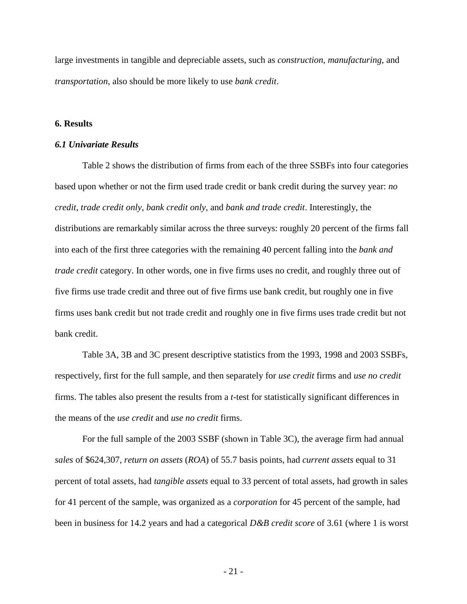<span id="page-24-0"></span>large investments in tangible and depreciable assets, such as *construction*, *manufacturing*, and *transportation*, also should be more likely to use *bank credit*.

#### **6. Results**

#### *6.1 Univariate Results*

Table 2 shows the distribution of firms from each of the three SSBFs into four categories based upon whether or not the firm used trade credit or bank credit during the survey year: *no credit*, *trade credit only*, *bank credit only*, and *bank and trade credit*. Interestingly, the distributions are remarkably similar across the three surveys: roughly 20 percent of the firms fall into each of the first three categories with the remaining 40 percent falling into the *bank and trade credit* category. In other words, one in five firms uses no credit, and roughly three out of five firms use trade credit and three out of five firms use bank credit, but roughly one in five firms uses bank credit but not trade credit and roughly one in five firms uses trade credit but not bank credit.

Table 3A, 3B and 3C present descriptive statistics from the 1993, 1998 and 2003 SSBFs, respectively, first for the full sample, and then separately for *use credit* firms and *use no credit* firms. The tables also present the results from a *t*-test for statistically significant differences in the means of the *use credit* and *use no credit* firms.

For the full sample of the 2003 SSBF (shown in Table 3C), the average firm had annual *sales* of \$624,307, *return on assets* (*ROA*) of 55.7 basis points, had *current assets* equal to 31 percent of total assets, had *tangible assets* equal to 33 percent of total assets, had growth in sales for 41 percent of the sample, was organized as a *corporation* for 45 percent of the sample, had been in business for 14.2 years and had a categorical *D&B credit score* of 3.61 (where 1 is worst

- 21 -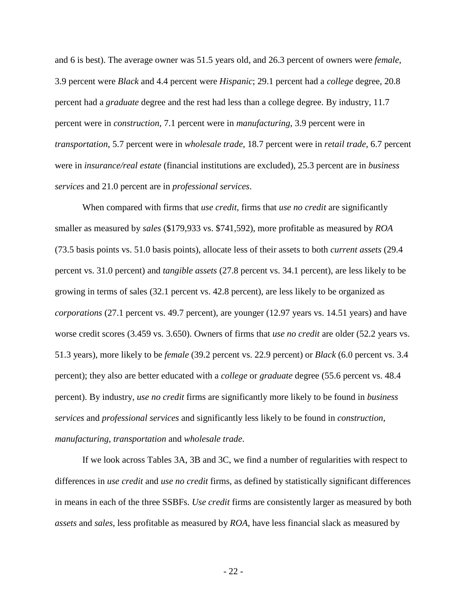and 6 is best). The average owner was 51.5 years old, and 26.3 percent of owners were *female*, 3.9 percent were *Black* and 4.4 percent were *Hispanic*; 29.1 percent had a *college* degree, 20.8 percent had a *graduate* degree and the rest had less than a college degree. By industry, 11.7 percent were in *construction*, 7.1 percent were in *manufacturing*, 3.9 percent were in *transportation*, 5.7 percent were in *wholesale trade*, 18.7 percent were in *retail trade*, 6.7 percent were in *insurance/real estate* (financial institutions are excluded), 25.3 percent are in *business services* and 21.0 percent are in *professional services*.

When compared with firms that *use credit*, firms that *use no credit* are significantly smaller as measured by *sales* (\$179,933 vs. \$741,592), more profitable as measured by *ROA* (73.5 basis points vs. 51.0 basis points), allocate less of their assets to both *current assets* (29.4 percent vs. 31.0 percent) and *tangible assets* (27.8 percent vs. 34.1 percent), are less likely to be growing in terms of sales (32.1 percent vs. 42.8 percent), are less likely to be organized as *corporations* (27.1 percent vs. 49.7 percent), are younger (12.97 years vs. 14.51 years) and have worse credit scores (3.459 vs. 3.650). Owners of firms that *use no credit* are older (52.2 years vs. 51.3 years), more likely to be *female* (39.2 percent vs. 22.9 percent) or *Black* (6.0 percent vs. 3.4 percent); they also are better educated with a *college* or *graduate* degree (55.6 percent vs. 48.4 percent). By industry, *use no credit* firms are significantly more likely to be found in *business services* and *professional services* and significantly less likely to be found in *construction*, *manufacturing*, *transportation* and *wholesale trade*.

If we look across Tables 3A, 3B and 3C, we find a number of regularities with respect to differences in *use credit* and *use no credit* firms, as defined by statistically significant differences in means in each of the three SSBFs. *Use credit* firms are consistently larger as measured by both *assets* and *sales*, less profitable as measured by *ROA*, have less financial slack as measured by

- 22 -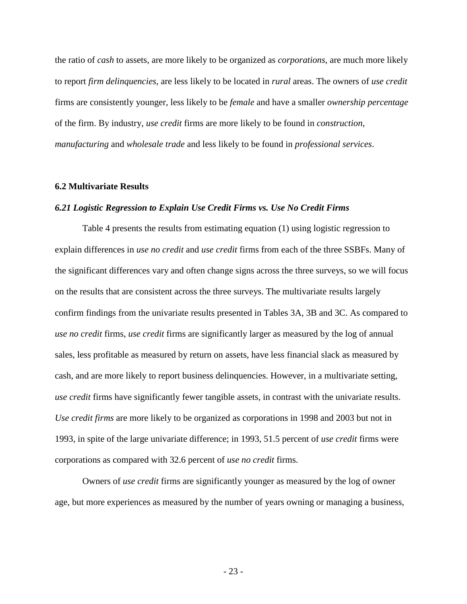the ratio of *cash* to assets, are more likely to be organized as *corporations*, are much more likely to report *firm delinquencies*, are less likely to be located in *rural* areas. The owners of *use credit* firms are consistently younger, less likely to be *female* and have a smaller *ownership percentage* of the firm. By industry, *use credit* firms are more likely to be found in *construction*, *manufacturing* and *wholesale trade* and less likely to be found in *professional services*.

## **6.2 Multivariate Results**

#### *6.21 Logistic Regression to Explain Use Credit Firms vs. Use No Credit Firms*

Table 4 presents the results from estimating equation (1) using logistic regression to explain differences in *use no credit* and *use credit* firms from each of the three SSBFs. Many of the significant differences vary and often change signs across the three surveys, so we will focus on the results that are consistent across the three surveys. The multivariate results largely confirm findings from the univariate results presented in Tables 3A, 3B and 3C. As compared to *use no credit* firms, *use credit* firms are significantly larger as measured by the log of annual sales, less profitable as measured by return on assets, have less financial slack as measured by cash, and are more likely to report business delinquencies. However, in a multivariate setting, *use credit* firms have significantly fewer tangible assets, in contrast with the univariate results. *Use credit firms* are more likely to be organized as corporations in 1998 and 2003 but not in 1993, in spite of the large univariate difference; in 1993, 51.5 percent of *use credit* firms were corporations as compared with 32.6 percent of *use no credit* firms.

Owners of *use credit* firms are significantly younger as measured by the log of owner age, but more experiences as measured by the number of years owning or managing a business,

- 23 -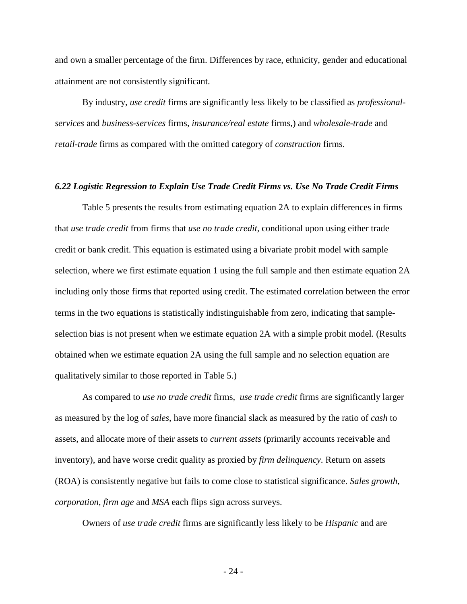and own a smaller percentage of the firm. Differences by race, ethnicity, gender and educational attainment are not consistently significant.

By industry, *use credit* firms are significantly less likely to be classified as *professionalservices* and *business-services* firms, *insurance/real estate* firms,) and *wholesale-trade* and *retail-trade* firms as compared with the omitted category of *construction* firms.

#### *6.22 Logistic Regression to Explain Use Trade Credit Firms vs. Use No Trade Credit Firms*

Table 5 presents the results from estimating equation 2A to explain differences in firms that *use trade credit* from firms that *use no trade credit*, conditional upon using either trade credit or bank credit. This equation is estimated using a bivariate probit model with sample selection, where we first estimate equation 1 using the full sample and then estimate equation 2A including only those firms that reported using credit. The estimated correlation between the error terms in the two equations is statistically indistinguishable from zero, indicating that sampleselection bias is not present when we estimate equation 2A with a simple probit model. (Results obtained when we estimate equation 2A using the full sample and no selection equation are qualitatively similar to those reported in Table 5.)

As compared to *use no trade credit* firms, *use trade credit* firms are significantly larger as measured by the log of *sales*, have more financial slack as measured by the ratio of *cash* to assets, and allocate more of their assets to *current assets* (primarily accounts receivable and inventory), and have worse credit quality as proxied by *firm delinquency*. Return on assets (ROA) is consistently negative but fails to come close to statistical significance. *Sales growth*, *corporation*, *firm age* and *MSA* each flips sign across surveys.

Owners of *use trade credit* firms are significantly less likely to be *Hispanic* and are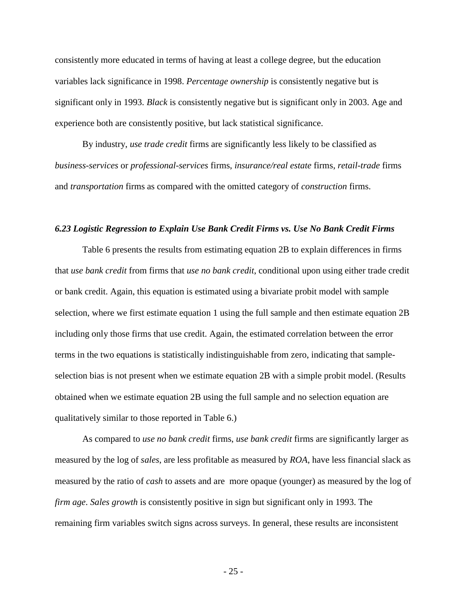consistently more educated in terms of having at least a college degree, but the education variables lack significance in 1998. *Percentage ownership* is consistently negative but is significant only in 1993. *Black* is consistently negative but is significant only in 2003. Age and experience both are consistently positive, but lack statistical significance.

By industry, *use trade credit* firms are significantly less likely to be classified as *business-services* or *professional-services* firms, *insurance/real estate* firms, *retail-trade* firms and *transportation* firms as compared with the omitted category of *construction* firms.

#### *6.23 Logistic Regression to Explain Use Bank Credit Firms vs. Use No Bank Credit Firms*

Table 6 presents the results from estimating equation 2B to explain differences in firms that *use bank credit* from firms that *use no bank credit*, conditional upon using either trade credit or bank credit. Again, this equation is estimated using a bivariate probit model with sample selection, where we first estimate equation 1 using the full sample and then estimate equation 2B including only those firms that use credit. Again, the estimated correlation between the error terms in the two equations is statistically indistinguishable from zero, indicating that sampleselection bias is not present when we estimate equation 2B with a simple probit model. (Results obtained when we estimate equation 2B using the full sample and no selection equation are qualitatively similar to those reported in Table 6.)

As compared to *use no bank credit* firms, *use bank credit* firms are significantly larger as measured by the log of *sales*, are less profitable as measured by *ROA*, have less financial slack as measured by the ratio of *cash* to assets and are more opaque (younger) as measured by the log of *firm age*. *Sales growth* is consistently positive in sign but significant only in 1993. The remaining firm variables switch signs across surveys. In general, these results are inconsistent

- 25 -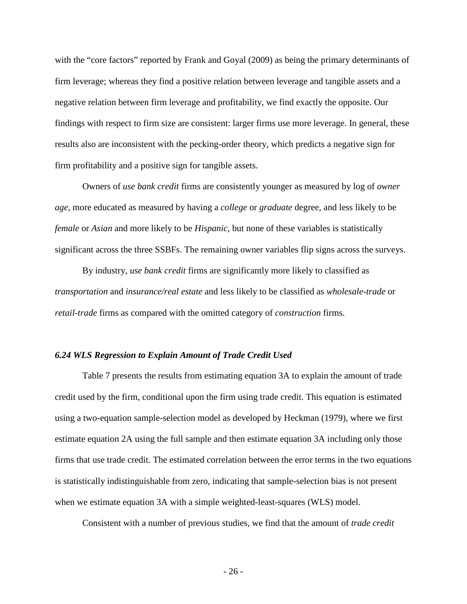with the "core factors" reported by Frank and Goyal (2009) as being the primary determinants of firm leverage; whereas they find a positive relation between leverage and tangible assets and a negative relation between firm leverage and profitability, we find exactly the opposite. Our findings with respect to firm size are consistent: larger firms use more leverage. In general, these results also are inconsistent with the pecking-order theory, which predicts a negative sign for firm profitability and a positive sign for tangible assets.

Owners of *use bank credit* firms are consistently younger as measured by log of *owner age*, more educated as measured by having a *college* or *graduate* degree, and less likely to be *female* or *Asian* and more likely to be *Hispanic,* but none of these variables is statistically significant across the three SSBFs. The remaining owner variables flip signs across the surveys.

By industry, *use bank credit* firms are significantly more likely to classified as *transportation* and *insurance/real estate* and less likely to be classified as *wholesale-trade* or *retail-trade* firms as compared with the omitted category of *construction* firms.

#### *6.24 WLS Regression to Explain Amount of Trade Credit Used*

Table 7 presents the results from estimating equation 3A to explain the amount of trade credit used by the firm, conditional upon the firm using trade credit. This equation is estimated using a two-equation sample-selection model as developed by Heckman (1979), where we first estimate equation 2A using the full sample and then estimate equation 3A including only those firms that use trade credit. The estimated correlation between the error terms in the two equations is statistically indistinguishable from zero, indicating that sample-selection bias is not present when we estimate equation 3A with a simple weighted-least-squares (WLS) model.

Consistent with a number of previous studies, we find that the amount of *trade credit*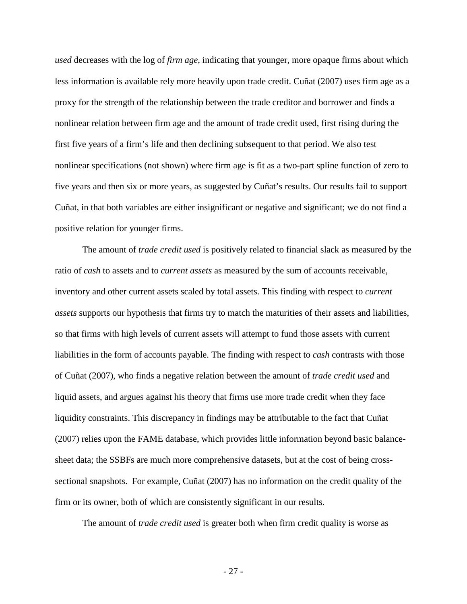*used* decreases with the log of *firm age*, indicating that younger, more opaque firms about which less information is available rely more heavily upon trade credit. Cuñat (2007) uses firm age as a proxy for the strength of the relationship between the trade creditor and borrower and finds a nonlinear relation between firm age and the amount of trade credit used, first rising during the first five years of a firm's life and then declining subsequent to that period. We also test nonlinear specifications (not shown) where firm age is fit as a two-part spline function of zero to five years and then six or more years, as suggested by Cuñat's results. Our results fail to support Cuñat, in that both variables are either insignificant or negative and significant; we do not find a positive relation for younger firms.

The amount of *trade credit used* is positively related to financial slack as measured by the ratio of *cash* to assets and to *current assets* as measured by the sum of accounts receivable, inventory and other current assets scaled by total assets. This finding with respect to *current assets* supports our hypothesis that firms try to match the maturities of their assets and liabilities, so that firms with high levels of current assets will attempt to fund those assets with current liabilities in the form of accounts payable. The finding with respect to *cash* contrasts with those of Cuñat (2007), who finds a negative relation between the amount of *trade credit used* and liquid assets, and argues against his theory that firms use more trade credit when they face liquidity constraints. This discrepancy in findings may be attributable to the fact that Cuñat (2007) relies upon the FAME database, which provides little information beyond basic balancesheet data; the SSBFs are much more comprehensive datasets, but at the cost of being crosssectional snapshots. For example, Cuñat (2007) has no information on the credit quality of the firm or its owner, both of which are consistently significant in our results.

The amount of *trade credit used* is greater both when firm credit quality is worse as

- 27 -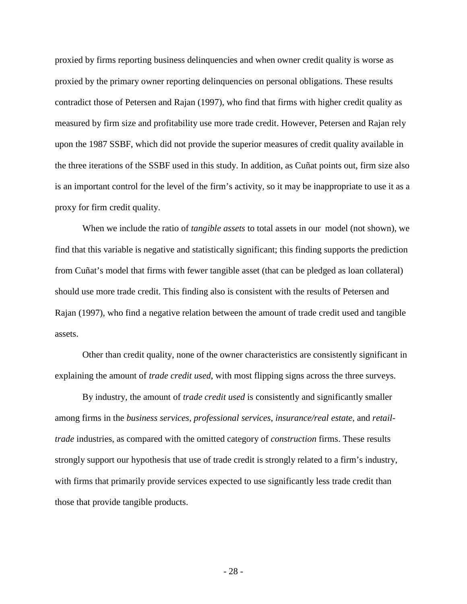proxied by firms reporting business delinquencies and when owner credit quality is worse as proxied by the primary owner reporting delinquencies on personal obligations. These results contradict those of Petersen and Rajan (1997), who find that firms with higher credit quality as measured by firm size and profitability use more trade credit. However, Petersen and Rajan rely upon the 1987 SSBF, which did not provide the superior measures of credit quality available in the three iterations of the SSBF used in this study. In addition, as Cuñat points out, firm size also is an important control for the level of the firm's activity, so it may be inappropriate to use it as a proxy for firm credit quality.

When we include the ratio of *tangible assets* to total assets in our model (not shown), we find that this variable is negative and statistically significant; this finding supports the prediction from Cuñat's model that firms with fewer tangible asset (that can be pledged as loan collateral) should use more trade credit. This finding also is consistent with the results of Petersen and Rajan (1997), who find a negative relation between the amount of trade credit used and tangible assets.

Other than credit quality, none of the owner characteristics are consistently significant in explaining the amount of *trade credit used*, with most flipping signs across the three surveys.

By industry, the amount of *trade credit used* is consistently and significantly smaller among firms in the *business services*, *professional services*, *insurance/real estate*, and *retailtrade* industries, as compared with the omitted category of *construction* firms. These results strongly support our hypothesis that use of trade credit is strongly related to a firm's industry, with firms that primarily provide services expected to use significantly less trade credit than those that provide tangible products.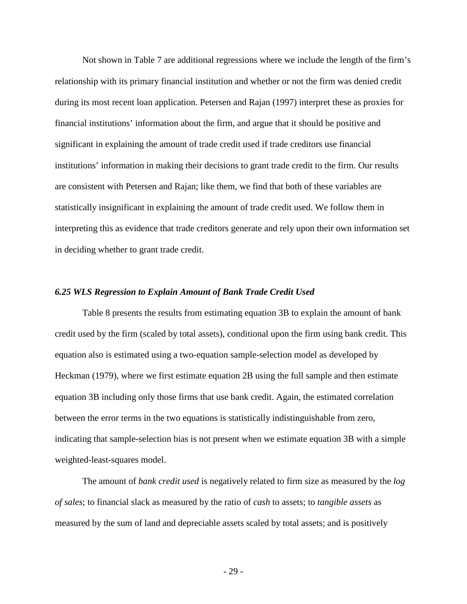Not shown in Table 7 are additional regressions where we include the length of the firm's relationship with its primary financial institution and whether or not the firm was denied credit during its most recent loan application. Petersen and Rajan (1997) interpret these as proxies for financial institutions' information about the firm, and argue that it should be positive and significant in explaining the amount of trade credit used if trade creditors use financial institutions' information in making their decisions to grant trade credit to the firm. Our results are consistent with Petersen and Rajan; like them, we find that both of these variables are statistically insignificant in explaining the amount of trade credit used. We follow them in interpreting this as evidence that trade creditors generate and rely upon their own information set in deciding whether to grant trade credit.

#### *6.25 WLS Regression to Explain Amount of Bank Trade Credit Used*

Table 8 presents the results from estimating equation 3B to explain the amount of bank credit used by the firm (scaled by total assets), conditional upon the firm using bank credit. This equation also is estimated using a two-equation sample-selection model as developed by Heckman (1979), where we first estimate equation 2B using the full sample and then estimate equation 3B including only those firms that use bank credit. Again, the estimated correlation between the error terms in the two equations is statistically indistinguishable from zero, indicating that sample-selection bias is not present when we estimate equation 3B with a simple weighted-least-squares model.

The amount of *bank credit used* is negatively related to firm size as measured by the *log of sales*; to financial slack as measured by the ratio of *cash* to assets; to *tangible assets* as measured by the sum of land and depreciable assets scaled by total assets; and is positively

- 29 -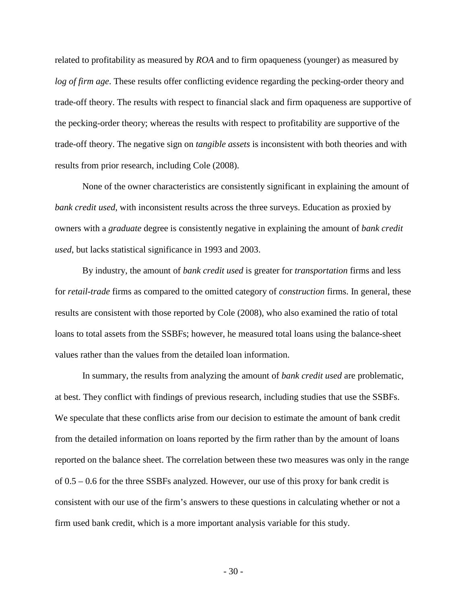related to profitability as measured by *ROA* and to firm opaqueness (younger) as measured by *log of firm age*. These results offer conflicting evidence regarding the pecking-order theory and trade-off theory. The results with respect to financial slack and firm opaqueness are supportive of the pecking-order theory; whereas the results with respect to profitability are supportive of the trade-off theory. The negative sign on *tangible assets* is inconsistent with both theories and with results from prior research, including Cole (2008).

None of the owner characteristics are consistently significant in explaining the amount of *bank credit used*, with inconsistent results across the three surveys. Education as proxied by owners with a *graduate* degree is consistently negative in explaining the amount of *bank credit used*, but lacks statistical significance in 1993 and 2003.

By industry, the amount of *bank credit used* is greater for *transportation* firms and less for *retail-trade* firms as compared to the omitted category of *construction* firms. In general, these results are consistent with those reported by Cole (2008), who also examined the ratio of total loans to total assets from the SSBFs; however, he measured total loans using the balance-sheet values rather than the values from the detailed loan information.

In summary, the results from analyzing the amount of *bank credit used* are problematic, at best. They conflict with findings of previous research, including studies that use the SSBFs. We speculate that these conflicts arise from our decision to estimate the amount of bank credit from the detailed information on loans reported by the firm rather than by the amount of loans reported on the balance sheet. The correlation between these two measures was only in the range of 0.5 – 0.6 for the three SSBFs analyzed. However, our use of this proxy for bank credit is consistent with our use of the firm's answers to these questions in calculating whether or not a firm used bank credit, which is a more important analysis variable for this study.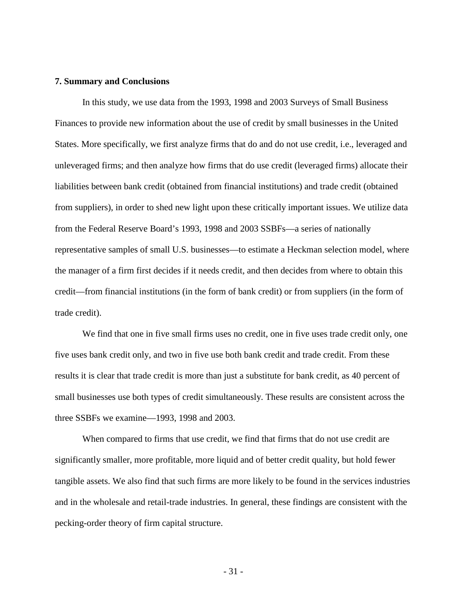#### <span id="page-34-0"></span>**7. Summary and Conclusions**

In this study, we use data from the 1993, 1998 and 2003 Surveys of Small Business Finances to provide new information about the use of credit by small businesses in the United States. More specifically, we first analyze firms that do and do not use credit, i.e., leveraged and unleveraged firms; and then analyze how firms that do use credit (leveraged firms) allocate their liabilities between bank credit (obtained from financial institutions) and trade credit (obtained from suppliers), in order to shed new light upon these critically important issues. We utilize data from the Federal Reserve Board's 1993, 1998 and 2003 SSBFs—a series of nationally representative samples of small U.S. businesses—to estimate a Heckman selection model, where the manager of a firm first decides if it needs credit, and then decides from where to obtain this credit—from financial institutions (in the form of bank credit) or from suppliers (in the form of trade credit).

We find that one in five small firms uses no credit, one in five uses trade credit only, one five uses bank credit only, and two in five use both bank credit and trade credit. From these results it is clear that trade credit is more than just a substitute for bank credit, as 40 percent of small businesses use both types of credit simultaneously. These results are consistent across the three SSBFs we examine—1993, 1998 and 2003.

When compared to firms that use credit, we find that firms that do not use credit are significantly smaller, more profitable, more liquid and of better credit quality, but hold fewer tangible assets. We also find that such firms are more likely to be found in the services industries and in the wholesale and retail-trade industries. In general, these findings are consistent with the pecking-order theory of firm capital structure.

- 31 -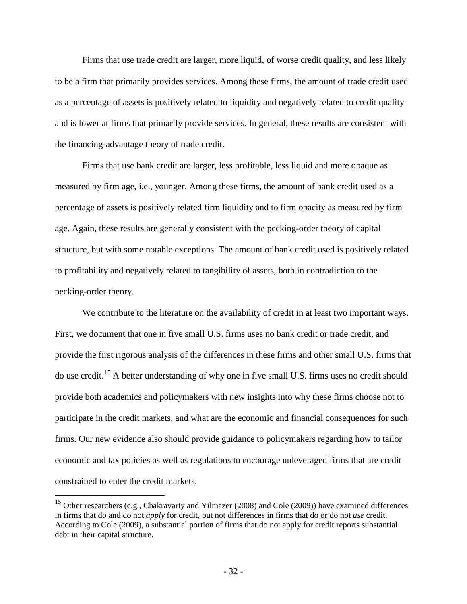Firms that use trade credit are larger, more liquid, of worse credit quality, and less likely to be a firm that primarily provides services. Among these firms, the amount of trade credit used as a percentage of assets is positively related to liquidity and negatively related to credit quality and is lower at firms that primarily provide services. In general, these results are consistent with the financing-advantage theory of trade credit.

Firms that use bank credit are larger, less profitable, less liquid and more opaque as measured by firm age, i.e., younger. Among these firms, the amount of bank credit used as a percentage of assets is positively related firm liquidity and to firm opacity as measured by firm age. Again, these results are generally consistent with the pecking-order theory of capital structure, but with some notable exceptions. The amount of bank credit used is positively related to profitability and negatively related to tangibility of assets, both in contradiction to the pecking-order theory.

We contribute to the literature on the availability of credit in at least two important ways. First, we document that one in five small U.S. firms uses no bank credit or trade credit, and provide the first rigorous analysis of the differences in these firms and other small U.S. firms that do use credit.<sup>[15](#page-35-0)</sup> A better understanding of why one in five small U.S. firms uses no credit should provide both academics and policymakers with new insights into why these firms choose not to participate in the credit markets, and what are the economic and financial consequences for such firms. Our new evidence also should provide guidance to policymakers regarding how to tailor economic and tax policies as well as regulations to encourage unleveraged firms that are credit constrained to enter the credit markets.

<span id="page-35-0"></span><sup>&</sup>lt;sup>15</sup> Other researchers (e.g., Chakravarty and Yilmazer (2008) and Cole (2009)) have examined differences in firms that do and do not *apply* for credit, but not differences in firms that do or do not *use* credit. According to Cole (2009), a substantial portion of firms that do not apply for credit reports substantial debt in their capital structure.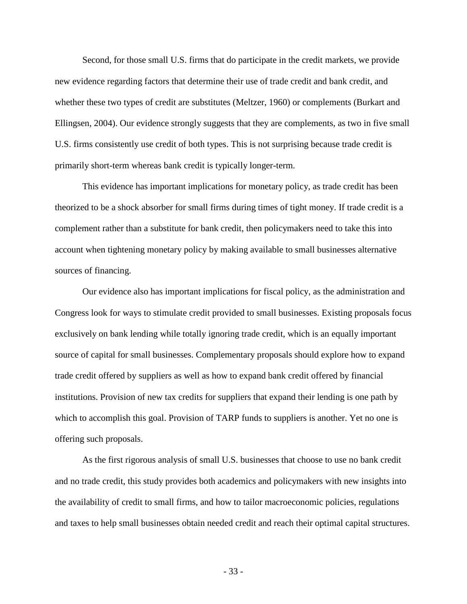Second, for those small U.S. firms that do participate in the credit markets, we provide new evidence regarding factors that determine their use of trade credit and bank credit, and whether these two types of credit are substitutes (Meltzer, 1960) or complements (Burkart and Ellingsen, 2004). Our evidence strongly suggests that they are complements, as two in five small U.S. firms consistently use credit of both types. This is not surprising because trade credit is primarily short-term whereas bank credit is typically longer-term.

This evidence has important implications for monetary policy, as trade credit has been theorized to be a shock absorber for small firms during times of tight money. If trade credit is a complement rather than a substitute for bank credit, then policymakers need to take this into account when tightening monetary policy by making available to small businesses alternative sources of financing.

Our evidence also has important implications for fiscal policy, as the administration and Congress look for ways to stimulate credit provided to small businesses. Existing proposals focus exclusively on bank lending while totally ignoring trade credit, which is an equally important source of capital for small businesses. Complementary proposals should explore how to expand trade credit offered by suppliers as well as how to expand bank credit offered by financial institutions. Provision of new tax credits for suppliers that expand their lending is one path by which to accomplish this goal. Provision of TARP funds to suppliers is another. Yet no one is offering such proposals.

As the first rigorous analysis of small U.S. businesses that choose to use no bank credit and no trade credit, this study provides both academics and policymakers with new insights into the availability of credit to small firms, and how to tailor macroeconomic policies, regulations and taxes to help small businesses obtain needed credit and reach their optimal capital structures.

- 33 -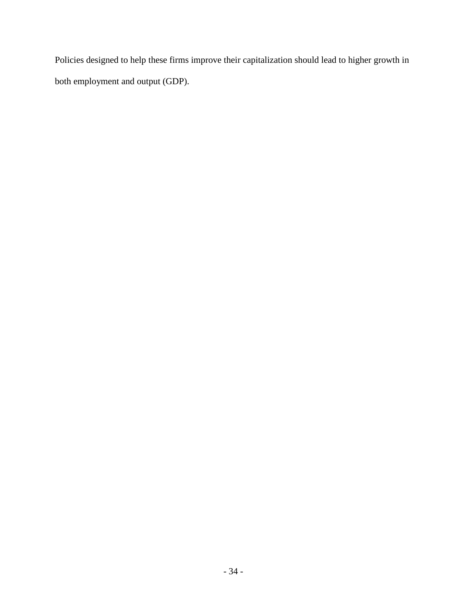Policies designed to help these firms improve their capitalization should lead to higher growth in both employment and output (GDP).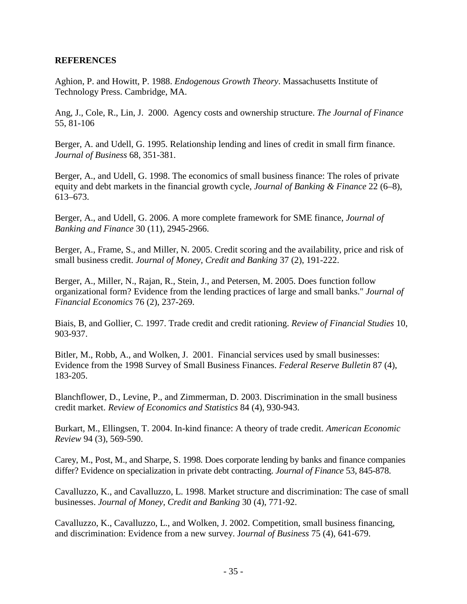# <span id="page-38-0"></span>**REFERENCES**

Aghion, P. and Howitt, P. 1988. *Endogenous Growth Theory*. Massachusetts Institute of Technology Press. Cambridge, MA.

Ang, J., Cole, R., Lin, J. 2000. Agency costs and ownership structure. *The Journal of Finance* 55, 81-106

Berger, A. and Udell, G. 1995. Relationship lending and lines of credit in small firm finance. *Journal of Business* 68, 351-381.

Berger, A., and Udell, G. 1998. The economics of small business finance: The roles of private equity and debt markets in the financial growth cycle, *Journal of Banking & Finance* 22 (6–8), 613–673.

Berger, A., and Udell, G. 2006. A more complete framework for SME finance, *Journal of Banking and Finance* 30 (11), 2945-2966.

Berger, A., Frame, S., and Miller, N. 2005. Credit scoring and the availability, price and risk of small business credit. *Journal of Money, Credit and Banking* 37 (2), 191-222.

Berger, A., Miller, N., Rajan, R., Stein, J., and Petersen, M. 2005. Does function follow organizational form? Evidence from the lending practices of large and small banks." *Journal of Financial Economics* 76 (2), 237-269.

Biais, B, and Gollier, C. 1997. Trade credit and credit rationing. *Review of Financial Studies* 10, 903-937.

Bitler, M., Robb, A., and Wolken, J. 2001. Financial services used by small businesses: Evidence from the 1998 Survey of Small Business Finances. *Federal Reserve Bulletin* 87 (4), 183-205.

Blanchflower, D., Levine, P., and Zimmerman, D. 2003. Discrimination in the small business credit market. *Review of Economics and Statistics* 84 (4), 930-943.

Burkart, M., Ellingsen, T. 2004. In-kind finance: A theory of trade credit. *American Economic Review* 94 (3), 569-590.

Carey, M., Post, M., and Sharpe, S. 1998. Does corporate lending by banks and finance companies differ? Evidence on specialization in private debt contracting. *Journal of Finance* 53, 845-878.

Cavalluzzo, K., and Cavalluzzo, L. 1998. Market structure and discrimination: The case of small businesses. *Journal of Money, Credit and Banking* 30 (4), 771-92.

Cavalluzzo, K., Cavalluzzo, L., and Wolken, J. 2002. Competition, small business financing, and discrimination: Evidence from a new survey. J*ournal of Business* 75 (4), 641-679.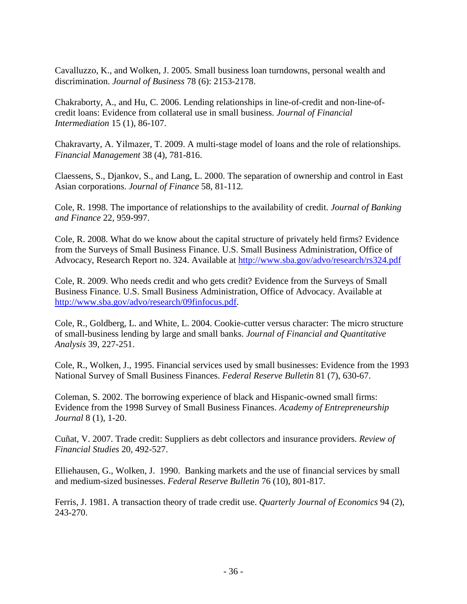Cavalluzzo, K., and Wolken, J. 2005. Small business loan turndowns, personal wealth and discrimination. *Journal of Business* 78 (6): 2153-2178.

Chakraborty, A., and Hu, C. 2006. Lending relationships in line-of-credit and non-line-ofcredit loans: Evidence from collateral use in small business. *Journal of Financial Intermediation* 15 (1), 86-107.

Chakravarty, A. Yilmazer, T. 2009. A multi-stage model of loans and the role of relationships. *Financial Management* 38 (4), 781-816.

Claessens, S., Djankov, S., and Lang, L. 2000. The separation of ownership and control in East Asian corporations. *Journal of Finance* 58, 81-112*.*

Cole, R. 1998. The importance of relationships to the availability of credit. *Journal of Banking and Finance* 22, 959-997.

Cole, R. 2008. What do we know about the capital structure of privately held firms? Evidence from the Surveys of Small Business Finance. U.S. Small Business Administration, Office of Advocacy, Research Report no. 324. Available at<http://www.sba.gov/advo/research/rs324.pdf>

Cole, R. 2009. Who needs credit and who gets credit? Evidence from the Surveys of Small Business Finance. U.S. Small Business Administration, Office of Advocacy. Available at [http://www.sba.gov/advo/research/09finfocus.pdf.](http://www.sba.gov/advo/research/09finfocus.pdf)

Cole, R., Goldberg, L. and White, L. 2004. Cookie-cutter versus character: The micro structure of small-business lending by large and small banks. *Journal of Financial and Quantitative Analysis* 39, 227-251.

Cole, R., Wolken, J., 1995. Financial services used by small businesses: Evidence from the 1993 National Survey of Small Business Finances. *Federal Reserve Bulletin* 81 (7), 630-67.

Coleman, S. 2002. The borrowing experience of black and Hispanic-owned small firms: Evidence from the 1998 Survey of Small Business Finances. *Academy of Entrepreneurship Journal* 8 (1), 1-20.

Cuñat, V. 2007. Trade credit: Suppliers as debt collectors and insurance providers. *Review of Financial Studies* 20, 492-527.

Elliehausen, G., Wolken, J. 1990. Banking markets and the use of financial services by small and medium-sized businesses. *Federal Reserve Bulletin* 76 (10), 801-817.

Ferris, J. 1981. A transaction theory of trade credit use. *Quarterly Journal of Economics* 94 (2), 243-270.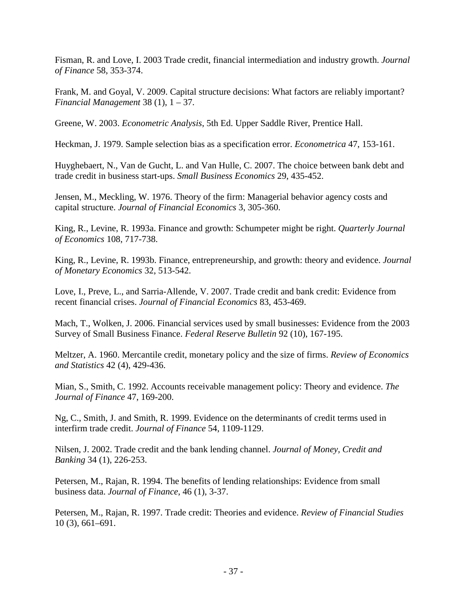Fisman, R. and Love, I. 2003 Trade credit, financial intermediation and industry growth. *Journal of Finance* 58, 353-374.

Frank, M. and Goyal, V. 2009. Capital structure decisions: What factors are reliably important? *Financial Management* 38 (1), 1 – 37.

Greene, W. 2003. *Econometric Analysis*, 5th Ed. Upper Saddle River, Prentice Hall.

Heckman, J. 1979. Sample selection bias as a specification error. *Econometrica* 47, 153-161.

Huyghebaert, N., Van de Gucht, L. and Van Hulle, C. 2007. The choice between bank debt and trade credit in business start-ups. *Small Business Economics* 29, 435-452.

Jensen, M., Meckling, W. 1976. Theory of the firm: Managerial behavior agency costs and capital structure. *Journal of Financial Economics* 3, 305-360.

King, R., Levine, R. 1993a. Finance and growth: Schumpeter might be right. *Quarterly Journal of Economics* 108, 717-738.

King, R., Levine, R. 1993b. Finance, entrepreneurship, and growth: theory and evidence. *Journal of Monetary Economics* 32, 513-542.

Love, I., Preve, L., and Sarria-Allende, V. 2007. Trade credit and bank credit: Evidence from recent financial crises. *Journal of Financial Economics* 83, 453-469.

Mach, T., Wolken, J. 2006. Financial services used by small businesses: Evidence from the 2003 Survey of Small Business Finance. *Federal Reserve Bulletin* 92 (10), 167-195.

Meltzer, A. 1960. Mercantile credit, monetary policy and the size of firms. *Review of Economics and Statistics* 42 (4), 429-436.

Mian, S., Smith, C. 1992. Accounts receivable management policy: Theory and evidence. *The Journal of Finance* 47, 169-200.

Ng, C., Smith, J. and Smith, R. 1999. Evidence on the determinants of credit terms used in interfirm trade credit. *Journal of Finance* 54, 1109-1129.

Nilsen, J. 2002. Trade credit and the bank lending channel. *Journal of Money, Credit and Banking* 34 (1), 226-253.

Petersen, M., Rajan, R. 1994. The benefits of lending relationships: Evidence from small business data. *Journal of Finance*, 46 (1), 3-37.

Petersen, M., Rajan, R. 1997. Trade credit: Theories and evidence. *Review of Financial Studies*  10 (3), 661–691.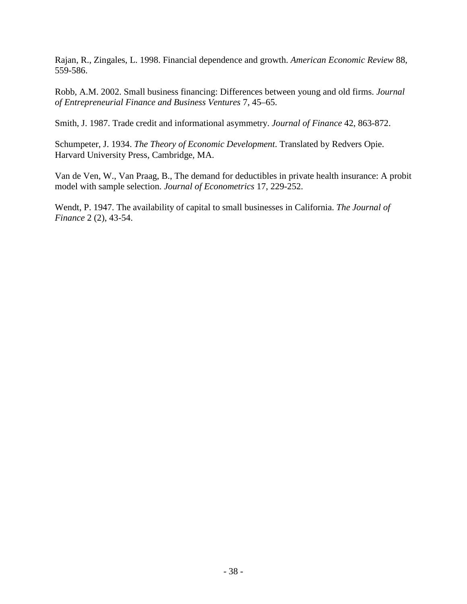Rajan, R., Zingales, L. 1998. Financial dependence and growth. *American Economic Review* 88, 559-586.

Robb, A.M. 2002. Small business financing: Differences between young and old firms. *Journal of Entrepreneurial Finance and Business Ventures* 7, 45–65.

Smith, J. 1987. Trade credit and informational asymmetry. *Journal of Finance* 42, 863-872.

Schumpeter, J. 1934. *The Theory of Economic Development*. Translated by Redvers Opie. Harvard University Press, Cambridge, MA.

Van de Ven, W., Van Praag, B., The demand for deductibles in private health insurance: A probit model with sample selection. *Journal of Econometrics* 17, 229-252.

Wendt, P. 1947. The availability of capital to small businesses in California. *The Journal of Finance* 2 (2), 43-54.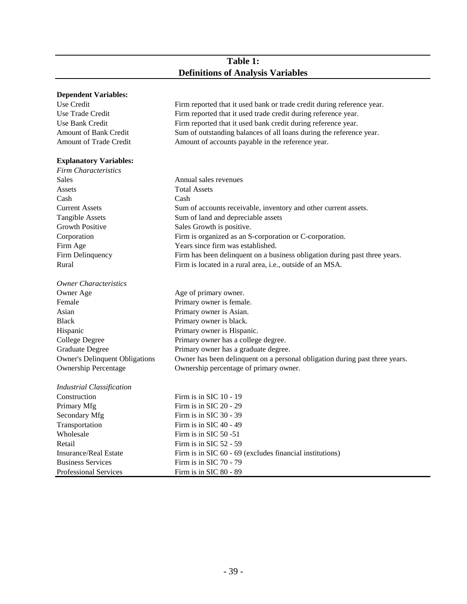# **Table 1: Definitions of Analysis Variables**

#### <span id="page-42-0"></span>**Dependent Variables:**

Use Credit Firm reported that it used bank or trade credit during reference year. Use Trade Credit Firm reported that it used trade credit during reference year. Use Bank Credit Firm reported that it used bank credit during reference year. Amount of Bank Credit Sum of outstanding balances of all loans during the reference year. Amount of Trade Credit Amount of accounts payable in the reference year.

#### **Explanatory Variables:**

| <b>Firm Characteristics</b>           |                                                                             |
|---------------------------------------|-----------------------------------------------------------------------------|
| Sales                                 | Annual sales revenues                                                       |
| Assets                                | <b>Total Assets</b>                                                         |
| Cash                                  | Cash                                                                        |
| <b>Current Assets</b>                 | Sum of accounts receivable, inventory and other current assets.             |
| <b>Tangible Assets</b>                | Sum of land and depreciable assets                                          |
| <b>Growth Positive</b>                | Sales Growth is positive.                                                   |
| Corporation                           | Firm is organized as an S-corporation or C-corporation.                     |
| Firm Age                              | Years since firm was established.                                           |
| Firm Delinquency                      | Firm has been delinquent on a business obligation during past three years.  |
| Rural                                 | Firm is located in a rural area, i.e., outside of an MSA.                   |
| <b>Owner Characteristics</b>          |                                                                             |
| Owner Age                             | Age of primary owner.                                                       |
| Female                                | Primary owner is female.                                                    |
| Asian                                 | Primary owner is Asian.                                                     |
| <b>Black</b>                          | Primary owner is black.                                                     |
| Hispanic                              | Primary owner is Hispanic.                                                  |
| <b>College Degree</b>                 | Primary owner has a college degree.                                         |
| <b>Graduate Degree</b>                | Primary owner has a graduate degree.                                        |
| <b>Owner's Delinquent Obligations</b> | Owner has been delinquent on a personal obligation during past three years. |
| <b>Ownership Percentage</b>           | Ownership percentage of primary owner.                                      |
| <b>Industrial Classification</b>      |                                                                             |
| Construction                          | Firm is in SIC $10 - 19$                                                    |
| Primary Mfg                           | Firm is in SIC 20 - 29                                                      |
| Secondary Mfg                         | Firm is in SIC 30 - 39                                                      |
|                                       |                                                                             |

| Secondary Mfg                | Firm is in SIC $30 - 39$                                 |
|------------------------------|----------------------------------------------------------|
| Transportation               | Firm is in SIC $40 - 49$                                 |
| Wholesale                    | Firm is in SIC $50 - 51$                                 |
| Retail                       | Firm is in SIC $52 - 59$                                 |
| Insurance/Real Estate        | Firm is in SIC 60 - 69 (excludes financial institutions) |
| <b>Business Services</b>     | Firm is in SIC $70 - 79$                                 |
| <b>Professional Services</b> | Firm is in SIC $80 - 89$                                 |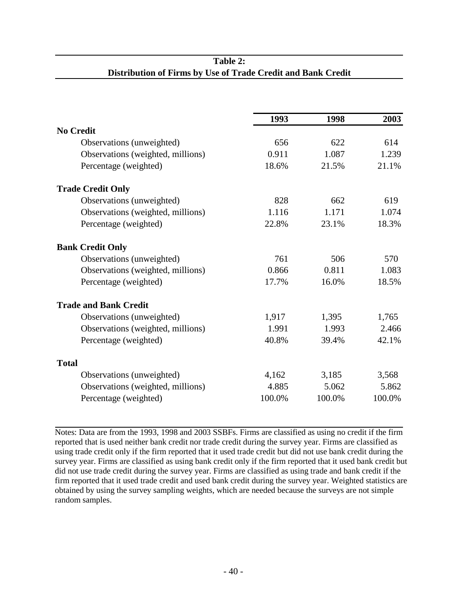|                                   | 1993   | 1998   | 2003   |
|-----------------------------------|--------|--------|--------|
| <b>No Credit</b>                  |        |        |        |
| Observations (unweighted)         | 656    | 622    | 614    |
| Observations (weighted, millions) | 0.911  | 1.087  | 1.239  |
| Percentage (weighted)             | 18.6%  | 21.5%  | 21.1%  |
| <b>Trade Credit Only</b>          |        |        |        |
| Observations (unweighted)         | 828    | 662    | 619    |
| Observations (weighted, millions) | 1.116  | 1.171  | 1.074  |
| Percentage (weighted)             | 22.8%  | 23.1%  | 18.3%  |
| <b>Bank Credit Only</b>           |        |        |        |
| Observations (unweighted)         | 761    | 506    | 570    |
| Observations (weighted, millions) | 0.866  | 0.811  | 1.083  |
| Percentage (weighted)             | 17.7%  | 16.0%  | 18.5%  |
| <b>Trade and Bank Credit</b>      |        |        |        |
| Observations (unweighted)         | 1,917  | 1,395  | 1,765  |
| Observations (weighted, millions) | 1.991  | 1.993  | 2.466  |
| Percentage (weighted)             | 40.8%  | 39.4%  | 42.1%  |
| <b>Total</b>                      |        |        |        |
| Observations (unweighted)         | 4,162  | 3,185  | 3,568  |
| Observations (weighted, millions) | 4.885  | 5.062  | 5.862  |
| Percentage (weighted)             | 100.0% | 100.0% | 100.0% |

# **Table 2: Distribution of Firms by Use of Trade Credit and Bank Credit**

Notes: Data are from the 1993, 1998 and 2003 SSBFs. Firms are classified as using no credit if the firm reported that is used neither bank credit nor trade credit during the survey year. Firms are classified as using trade credit only if the firm reported that it used trade credit but did not use bank credit during the survey year. Firms are classified as using bank credit only if the firm reported that it used bank credit but did not use trade credit during the survey year. Firms are classified as using trade and bank credit if the firm reported that it used trade credit and used bank credit during the survey year. Weighted statistics are obtained by using the survey sampling weights, which are needed because the surveys are not simple random samples.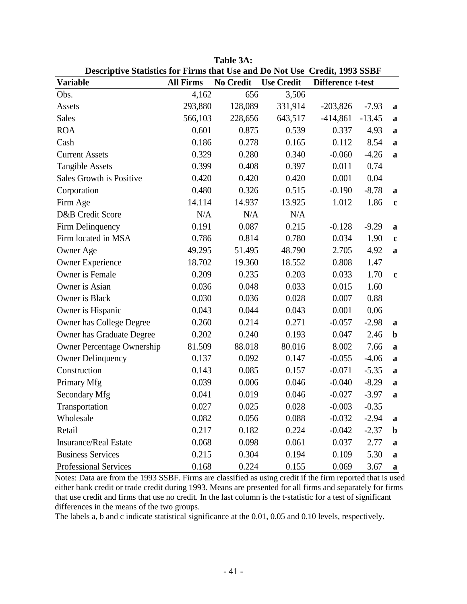| Descriptive Statistics for Firms that Use and Do Fot Use. Credit, 1995 SSDF |                  |                  |                   |                   |          |             |
|-----------------------------------------------------------------------------|------------------|------------------|-------------------|-------------------|----------|-------------|
| <b>Variable</b>                                                             | <b>All Firms</b> | <b>No Credit</b> | <b>Use Credit</b> | Difference t-test |          |             |
| Obs.                                                                        | 4,162            | 656              | 3,506             |                   |          |             |
| Assets                                                                      | 293,880          | 128,089          | 331,914           | $-203,826$        | $-7.93$  | a           |
| <b>Sales</b>                                                                | 566,103          | 228,656          | 643,517           | $-414,861$        | $-13.45$ | $\mathbf a$ |
| <b>ROA</b>                                                                  | 0.601            | 0.875            | 0.539             | 0.337             | 4.93     | $\mathbf a$ |
| Cash                                                                        | 0.186            | 0.278            | 0.165             | 0.112             | 8.54     | $\mathbf a$ |
| <b>Current Assets</b>                                                       | 0.329            | 0.280            | 0.340             | $-0.060$          | $-4.26$  | $\mathbf a$ |
| <b>Tangible Assets</b>                                                      | 0.399            | 0.408            | 0.397             | 0.011             | 0.74     |             |
| Sales Growth is Positive                                                    | 0.420            | 0.420            | 0.420             | 0.001             | 0.04     |             |
| Corporation                                                                 | 0.480            | 0.326            | 0.515             | $-0.190$          | $-8.78$  | a           |
| Firm Age                                                                    | 14.114           | 14.937           | 13.925            | 1.012             | 1.86     | $\mathbf c$ |
| D&B Credit Score                                                            | N/A              | N/A              | N/A               |                   |          |             |
| Firm Delinquency                                                            | 0.191            | 0.087            | 0.215             | $-0.128$          | $-9.29$  | a           |
| Firm located in MSA                                                         | 0.786            | 0.814            | 0.780             | 0.034             | 1.90     | $\mathbf c$ |
| Owner Age                                                                   | 49.295           | 51.495           | 48.790            | 2.705             | 4.92     | $\mathbf a$ |
| <b>Owner Experience</b>                                                     | 18.702           | 19.360           | 18.552            | 0.808             | 1.47     |             |
| Owner is Female                                                             | 0.209            | 0.235            | 0.203             | 0.033             | 1.70     | $\mathbf c$ |
| Owner is Asian                                                              | 0.036            | 0.048            | 0.033             | 0.015             | 1.60     |             |
| Owner is Black                                                              | 0.030            | 0.036            | 0.028             | 0.007             | 0.88     |             |
| Owner is Hispanic                                                           | 0.043            | 0.044            | 0.043             | 0.001             | 0.06     |             |
| Owner has College Degree                                                    | 0.260            | 0.214            | 0.271             | $-0.057$          | $-2.98$  | a           |
| Owner has Graduate Degree                                                   | 0.202            | 0.240            | 0.193             | 0.047             | 2.46     | $\mathbf b$ |
| <b>Owner Percentage Ownership</b>                                           | 81.509           | 88.018           | 80.016            | 8.002             | 7.66     | $\mathbf a$ |
| <b>Owner Delinquency</b>                                                    | 0.137            | 0.092            | 0.147             | $-0.055$          | $-4.06$  | $\mathbf a$ |
| Construction                                                                | 0.143            | 0.085            | 0.157             | $-0.071$          | $-5.35$  | $\mathbf a$ |
| Primary Mfg                                                                 | 0.039            | 0.006            | 0.046             | $-0.040$          | $-8.29$  | $\mathbf a$ |
| <b>Secondary Mfg</b>                                                        | 0.041            | 0.019            | 0.046             | $-0.027$          | $-3.97$  | a           |
| Transportation                                                              | 0.027            | 0.025            | 0.028             | $-0.003$          | $-0.35$  |             |
| Wholesale                                                                   | 0.082            | 0.056            | 0.088             | $-0.032$          | $-2.94$  | a           |
| Retail                                                                      | 0.217            | 0.182            | 0.224             | $-0.042$          | $-2.37$  | $\mathbf b$ |
| <b>Insurance/Real Estate</b>                                                | 0.068            | 0.098            | 0.061             | 0.037             | 2.77     | a           |
| <b>Business Services</b>                                                    | 0.215            | 0.304            | 0.194             | 0.109             | 5.30     | a           |
| Professional Services                                                       | 0.168            | 0.224            | 0.155             | 0.069             | 3.67     | $\mathbf a$ |

**Table 3A: Descriptive Statistics for Firms that Use and Do Not Use Credit, 1993 SSBF** 

Notes: Data are from the 1993 SSBF. Firms are classified as using credit if the firm reported that is used either bank credit or trade credit during 1993. Means are presented for all firms and separately for firms that use credit and firms that use no credit. In the last column is the t-statistic for a test of significant differences in the means of the two groups.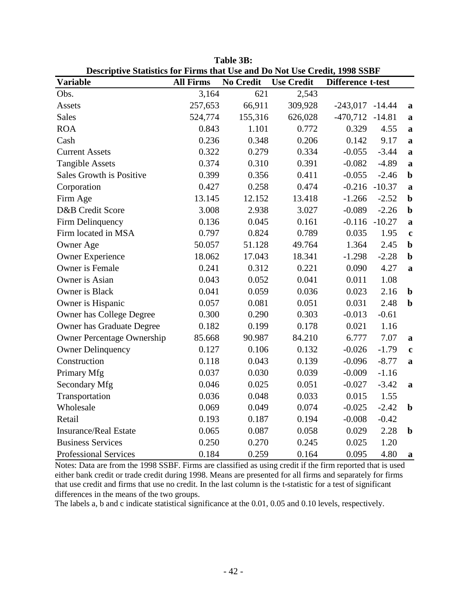| Descriptive Statistics for Firms that Use and Do Not Use Credit, 1996 SSDF |                  |                  |                   |                   |          |              |
|----------------------------------------------------------------------------|------------------|------------------|-------------------|-------------------|----------|--------------|
| <b>Variable</b>                                                            | <b>All Firms</b> | <b>No Credit</b> | <b>Use Credit</b> | Difference t-test |          |              |
| Obs.                                                                       | 3,164            | 621              | 2,543             |                   |          |              |
| Assets                                                                     | 257,653          | 66,911           | 309,928           | $-243,017$        | $-14.44$ | a            |
| <b>Sales</b>                                                               | 524,774          | 155,316          | 626,028           | $-470,712$        | $-14.81$ | a            |
| <b>ROA</b>                                                                 | 0.843            | 1.101            | 0.772             | 0.329             | 4.55     | a            |
| Cash                                                                       | 0.236            | 0.348            | 0.206             | 0.142             | 9.17     | $\mathbf{a}$ |
| <b>Current Assets</b>                                                      | 0.322            | 0.279            | 0.334             | $-0.055$          | $-3.44$  | $\mathbf a$  |
| <b>Tangible Assets</b>                                                     | 0.374            | 0.310            | 0.391             | $-0.082$          | $-4.89$  | $\mathbf{a}$ |
| Sales Growth is Positive                                                   | 0.399            | 0.356            | 0.411             | $-0.055$          | $-2.46$  | $\mathbf b$  |
| Corporation                                                                | 0.427            | 0.258            | 0.474             | $-0.216$          | $-10.37$ | $\mathbf a$  |
| Firm Age                                                                   | 13.145           | 12.152           | 13.418            | $-1.266$          | $-2.52$  | $\mathbf b$  |
| D&B Credit Score                                                           | 3.008            | 2.938            | 3.027             | $-0.089$          | $-2.26$  | $\mathbf b$  |
| Firm Delinquency                                                           | 0.136            | 0.045            | 0.161             | $-0.116$          | $-10.27$ | $\mathbf{a}$ |
| Firm located in MSA                                                        | 0.797            | 0.824            | 0.789             | 0.035             | 1.95     | $\mathbf c$  |
| Owner Age                                                                  | 50.057           | 51.128           | 49.764            | 1.364             | 2.45     | $\mathbf b$  |
| <b>Owner Experience</b>                                                    | 18.062           | 17.043           | 18.341            | $-1.298$          | $-2.28$  | $\mathbf b$  |
| <b>Owner</b> is Female                                                     | 0.241            | 0.312            | 0.221             | 0.090             | 4.27     | $\mathbf{a}$ |
| Owner is Asian                                                             | 0.043            | 0.052            | 0.041             | 0.011             | 1.08     |              |
| Owner is Black                                                             | 0.041            | 0.059            | 0.036             | 0.023             | 2.16     | $\mathbf b$  |
| Owner is Hispanic                                                          | 0.057            | 0.081            | 0.051             | 0.031             | 2.48     | $\mathbf b$  |
| Owner has College Degree                                                   | 0.300            | 0.290            | 0.303             | $-0.013$          | $-0.61$  |              |
| Owner has Graduate Degree                                                  | 0.182            | 0.199            | 0.178             | 0.021             | 1.16     |              |
| <b>Owner Percentage Ownership</b>                                          | 85.668           | 90.987           | 84.210            | 6.777             | 7.07     | a            |
| <b>Owner Delinquency</b>                                                   | 0.127            | 0.106            | 0.132             | $-0.026$          | $-1.79$  | $\mathbf c$  |
| Construction                                                               | 0.118            | 0.043            | 0.139             | $-0.096$          | $-8.77$  | a            |
| Primary Mfg                                                                | 0.037            | 0.030            | 0.039             | $-0.009$          | $-1.16$  |              |
| Secondary Mfg                                                              | 0.046            | 0.025            | 0.051             | $-0.027$          | $-3.42$  | a            |
| Transportation                                                             | 0.036            | 0.048            | 0.033             | 0.015             | 1.55     |              |
| Wholesale                                                                  | 0.069            | 0.049            | 0.074             | $-0.025$          | $-2.42$  | $\mathbf b$  |
| Retail                                                                     | 0.193            | 0.187            | 0.194             | $-0.008$          | $-0.42$  |              |
| <b>Insurance/Real Estate</b>                                               | 0.065            | 0.087            | 0.058             | 0.029             | 2.28     | $\mathbf b$  |
| <b>Business Services</b>                                                   | 0.250            | 0.270            | 0.245             | 0.025             | 1.20     |              |
| <b>Professional Services</b>                                               | 0.184            | 0.259            | 0.164             | 0.095             | 4.80     | a            |

Table 3B:<br>hot Hso and Do Not Hso Crodit, 1008 SSBF **Descriptive Statistics for Firms that** 

Notes: Data are from the 1998 SSBF. Firms are classified as using credit if the firm reported that is used either bank credit or trade credit during 1998. Means are presented for all firms and separately for firms that use credit and firms that use no credit. In the last column is the t-statistic for a test of significant differences in the means of the two groups.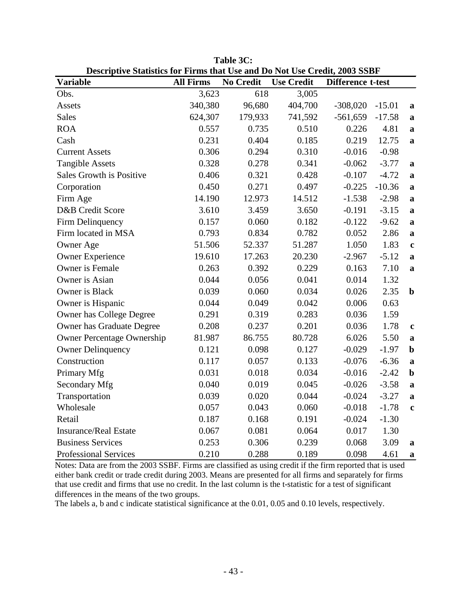| Descriptive Statistics for Firms that Use and Do Not Use Credit, 2005 SSBF |                  |                  |                   |                          |          |              |  |  |  |
|----------------------------------------------------------------------------|------------------|------------------|-------------------|--------------------------|----------|--------------|--|--|--|
| <b>Variable</b>                                                            | <b>All Firms</b> | <b>No Credit</b> | <b>Use Credit</b> | <b>Difference t-test</b> |          |              |  |  |  |
| Obs.                                                                       | 3,623            | 618              | 3,005             |                          |          |              |  |  |  |
| Assets                                                                     | 340,380          | 96,680           | 404,700           | $-308,020$               | $-15.01$ | a            |  |  |  |
| <b>Sales</b>                                                               | 624,307          | 179,933          | 741,592           | $-561,659$               | $-17.58$ | a            |  |  |  |
| <b>ROA</b>                                                                 | 0.557            | 0.735            | 0.510             | 0.226                    | 4.81     | a            |  |  |  |
| Cash                                                                       | 0.231            | 0.404            | 0.185             | 0.219                    | 12.75    | a            |  |  |  |
| <b>Current Assets</b>                                                      | 0.306            | 0.294            | 0.310             | $-0.016$                 | $-0.98$  |              |  |  |  |
| <b>Tangible Assets</b>                                                     | 0.328            | 0.278            | 0.341             | $-0.062$                 | $-3.77$  | a            |  |  |  |
| <b>Sales Growth is Positive</b>                                            | 0.406            | 0.321            | 0.428             | $-0.107$                 | $-4.72$  | $\mathbf a$  |  |  |  |
| Corporation                                                                | 0.450            | 0.271            | 0.497             | $-0.225$                 | $-10.36$ | $\mathbf a$  |  |  |  |
| Firm Age                                                                   | 14.190           | 12.973           | 14.512            | $-1.538$                 | $-2.98$  | $\mathbf{a}$ |  |  |  |
| D&B Credit Score                                                           | 3.610            | 3.459            | 3.650             | $-0.191$                 | $-3.15$  | $\mathbf{a}$ |  |  |  |
| Firm Delinquency                                                           | 0.157            | 0.060            | 0.182             | $-0.122$                 | $-9.62$  | $\mathbf{a}$ |  |  |  |
| Firm located in MSA                                                        | 0.793            | 0.834            | 0.782             | 0.052                    | 2.86     | $\mathbf{a}$ |  |  |  |
| Owner Age                                                                  | 51.506           | 52.337           | 51.287            | 1.050                    | 1.83     | $\mathbf c$  |  |  |  |
| <b>Owner Experience</b>                                                    | 19.610           | 17.263           | 20.230            | $-2.967$                 | $-5.12$  | $\mathbf a$  |  |  |  |
| <b>Owner</b> is Female                                                     | 0.263            | 0.392            | 0.229             | 0.163                    | 7.10     | $\mathbf{a}$ |  |  |  |
| Owner is Asian                                                             | 0.044            | 0.056            | 0.041             | 0.014                    | 1.32     |              |  |  |  |
| Owner is Black                                                             | 0.039            | 0.060            | 0.034             | 0.026                    | 2.35     | $\mathbf b$  |  |  |  |
| Owner is Hispanic                                                          | 0.044            | 0.049            | 0.042             | 0.006                    | 0.63     |              |  |  |  |
| Owner has College Degree                                                   | 0.291            | 0.319            | 0.283             | 0.036                    | 1.59     |              |  |  |  |
| Owner has Graduate Degree                                                  | 0.208            | 0.237            | 0.201             | 0.036                    | 1.78     | $\mathbf c$  |  |  |  |
| <b>Owner Percentage Ownership</b>                                          | 81.987           | 86.755           | 80.728            | 6.026                    | 5.50     | a            |  |  |  |
| <b>Owner Delinquency</b>                                                   | 0.121            | 0.098            | 0.127             | $-0.029$                 | $-1.97$  | $\mathbf b$  |  |  |  |
| Construction                                                               | 0.117            | 0.057            | 0.133             | $-0.076$                 | $-6.36$  | a            |  |  |  |
| Primary Mfg                                                                | 0.031            | 0.018            | 0.034             | $-0.016$                 | $-2.42$  | $\mathbf b$  |  |  |  |
| <b>Secondary Mfg</b>                                                       | 0.040            | 0.019            | 0.045             | $-0.026$                 | $-3.58$  | $\mathbf a$  |  |  |  |
| Transportation                                                             | 0.039            | 0.020            | 0.044             | $-0.024$                 | $-3.27$  | $\mathbf a$  |  |  |  |
| Wholesale                                                                  | 0.057            | 0.043            | 0.060             | $-0.018$                 | $-1.78$  | $\mathbf c$  |  |  |  |
| Retail                                                                     | 0.187            | 0.168            | 0.191             | $-0.024$                 | $-1.30$  |              |  |  |  |
| <b>Insurance/Real Estate</b>                                               | 0.067            | 0.081            | 0.064             | 0.017                    | 1.30     |              |  |  |  |
| <b>Business Services</b>                                                   | 0.253            | 0.306            | 0.239             | 0.068                    | 3.09     | a            |  |  |  |
| <b>Professional Services</b>                                               | 0.210            | 0.288            | 0.189             | 0.098                    | 4.61     | a            |  |  |  |

**Table 3C: Descriptive Statistics for Firms that Use and Do Not Use Credit, 2003 SSBF** 

Notes: Data are from the 2003 SSBF. Firms are classified as using credit if the firm reported that is used either bank credit or trade credit during 2003. Means are presented for all firms and separately for firms that use credit and firms that use no credit. In the last column is the t-statistic for a test of significant differences in the means of the two groups.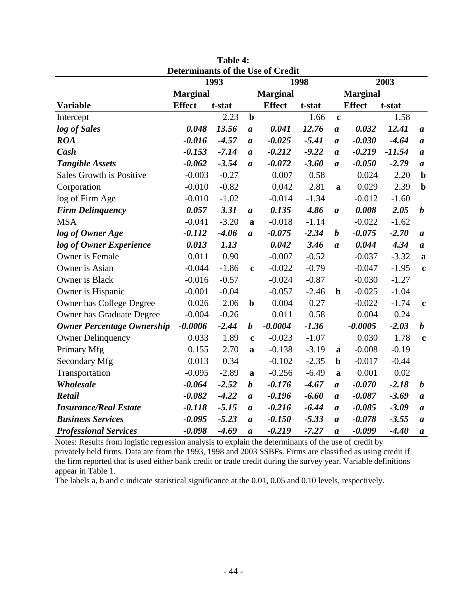|                                   | <b>Determinants of the Use of Credit</b> |         |                  |                 |         |                  |                 |          |                  |
|-----------------------------------|------------------------------------------|---------|------------------|-----------------|---------|------------------|-----------------|----------|------------------|
|                                   |                                          | 1993    |                  |                 | 1998    |                  |                 | 2003     |                  |
|                                   | <b>Marginal</b>                          |         |                  | <b>Marginal</b> |         |                  | <b>Marginal</b> |          |                  |
| <b>Variable</b>                   | <b>Effect</b>                            | t-stat  |                  | <b>Effect</b>   | t-stat  |                  | <b>Effect</b>   | t-stat   |                  |
| Intercept                         |                                          | 2.23    | $\mathbf b$      |                 | 1.66    | $\mathbf c$      |                 | 1.58     |                  |
| log of Sales                      | 0.048                                    | 13.56   | $\boldsymbol{a}$ | 0.041           | 12.76   | $\boldsymbol{a}$ | 0.032           | 12.41    | $\boldsymbol{a}$ |
| <b>ROA</b>                        | $-0.016$                                 | $-4.57$ | $\boldsymbol{a}$ | $-0.025$        | $-5.41$ | $\boldsymbol{a}$ | $-0.030$        | $-4.64$  | $\boldsymbol{a}$ |
| Cash                              | $-0.153$                                 | $-7.14$ | $\boldsymbol{a}$ | $-0.212$        | $-9.22$ | $\boldsymbol{a}$ | $-0.219$        | $-11.54$ | $\boldsymbol{a}$ |
| <b>Tangible Assets</b>            | $-0.062$                                 | $-3.54$ | $\boldsymbol{a}$ | $-0.072$        | $-3.60$ | $\boldsymbol{a}$ | $-0.050$        | $-2.79$  | $\boldsymbol{a}$ |
| <b>Sales Growth is Positive</b>   | $-0.003$                                 | $-0.27$ |                  | 0.007           | 0.58    |                  | 0.024           | 2.20     | $\mathbf b$      |
| Corporation                       | $-0.010$                                 | $-0.82$ |                  | 0.042           | 2.81    | a                | 0.029           | 2.39     | $\mathbf b$      |
| log of Firm Age                   | $-0.010$                                 | $-1.02$ |                  | $-0.014$        | $-1.34$ |                  | $-0.012$        | $-1.60$  |                  |
| <b>Firm Delinquency</b>           | 0.057                                    | 3.31    | $\boldsymbol{a}$ | 0.135           | 4.86    | $\boldsymbol{a}$ | 0.008           | 2.05     | $\boldsymbol{b}$ |
| <b>MSA</b>                        | $-0.041$                                 | $-3.20$ | $\mathbf{a}$     | $-0.018$        | $-1.14$ |                  | $-0.022$        | $-1.62$  |                  |
| log of Owner Age                  | $-0.112$                                 | $-4.06$ | $\boldsymbol{a}$ | $-0.075$        | $-2.34$ | $\boldsymbol{b}$ | $-0.075$        | $-2.70$  | $\boldsymbol{a}$ |
| log of Owner Experience           | 0.013                                    | 1.13    |                  | 0.042           | 3.46    | $\boldsymbol{a}$ | 0.044           | 4.34     | $\boldsymbol{a}$ |
| Owner is Female                   | 0.011                                    | 0.90    |                  | $-0.007$        | $-0.52$ |                  | $-0.037$        | $-3.32$  | a                |
| Owner is Asian                    | $-0.044$                                 | $-1.86$ | $\mathbf c$      | $-0.022$        | $-0.79$ |                  | $-0.047$        | $-1.95$  | $\mathbf c$      |
| Owner is Black                    | $-0.016$                                 | $-0.57$ |                  | $-0.024$        | $-0.87$ |                  | $-0.030$        | $-1.27$  |                  |
| Owner is Hispanic                 | $-0.001$                                 | $-0.04$ |                  | $-0.057$        | $-2.46$ | $\mathbf b$      | $-0.025$        | $-1.04$  |                  |
| Owner has College Degree          | 0.026                                    | 2.06    | $\mathbf b$      | 0.004           | 0.27    |                  | $-0.022$        | $-1.74$  | $\mathbf c$      |
| Owner has Graduate Degree         | $-0.004$                                 | $-0.26$ |                  | 0.011           | 0.58    |                  | 0.004           | 0.24     |                  |
| <b>Owner Percentage Ownership</b> | $-0.0006$                                | $-2.44$ | $\boldsymbol{b}$ | $-0.0004$       | $-1.36$ |                  | $-0.0005$       | $-2.03$  | $\boldsymbol{b}$ |
| <b>Owner Delinquency</b>          | 0.033                                    | 1.89    | $\mathbf c$      | $-0.023$        | $-1.07$ |                  | 0.030           | 1.78     | $\mathbf c$      |
| Primary Mfg                       | 0.155                                    | 2.70    | a                | $-0.138$        | $-3.19$ | a                | $-0.008$        | $-0.19$  |                  |
| Secondary Mfg                     | 0.013                                    | 0.34    |                  | $-0.102$        | $-2.35$ | $\mathbf b$      | $-0.017$        | $-0.44$  |                  |
| Transportation                    | $-0.095$                                 | $-2.89$ | $\mathbf a$      | $-0.256$        | $-6.49$ | a                | 0.001           | 0.02     |                  |
| Wholesale                         | $-0.064$                                 | $-2.52$ | $\boldsymbol{b}$ | $-0.176$        | $-4.67$ | $\boldsymbol{a}$ | $-0.070$        | $-2.18$  | $\boldsymbol{b}$ |
| Retail                            | $-0.082$                                 | $-4.22$ | $\boldsymbol{a}$ | $-0.196$        | $-6.60$ | $\boldsymbol{a}$ | $-0.087$        | $-3.69$  | $\boldsymbol{a}$ |
| <b>Insurance/Real Estate</b>      | $-0.118$                                 | $-5.15$ | $\boldsymbol{a}$ | $-0.216$        | $-6.44$ | $\boldsymbol{a}$ | $-0.085$        | $-3.09$  | $\boldsymbol{a}$ |
| <b>Business Services</b>          | $-0.095$                                 | $-5.23$ | $\boldsymbol{a}$ | $-0.150$        | $-5.33$ | $\boldsymbol{a}$ | $-0.078$        | $-3.55$  | $\boldsymbol{a}$ |
| <b>Professional Services</b>      | $-0.098$                                 | $-4.69$ | $\boldsymbol{a}$ | $-0.219$        | $-7.27$ | $\boldsymbol{a}$ | $-0.099$        | $-4.40$  | $\boldsymbol{a}$ |

**Table 4: Determinants of the Use of Credit**

Notes: Results from logistic regression analysis to explain the determinants of the use of credit by privately held firms. Data are from the 1993, 1998 and 2003 SSBFs. Firms are classified as using credit if the firm reported that is used either bank credit or trade credit during the survey year. Variable definitions appear in Table 1.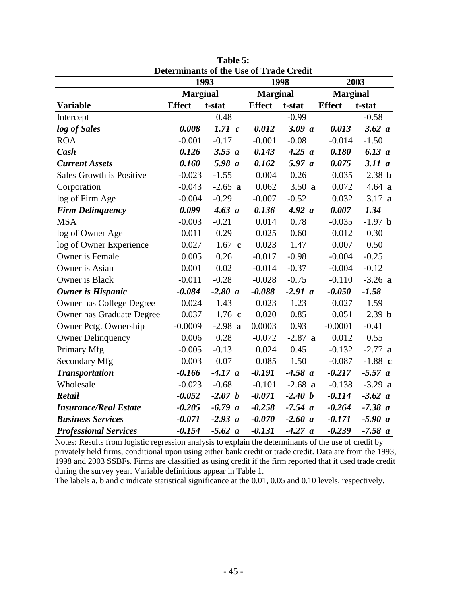|                              |                 | 1993      |                 | 1998      | 2003            |                   |  |  |
|------------------------------|-----------------|-----------|-----------------|-----------|-----------------|-------------------|--|--|
|                              | <b>Marginal</b> |           | <b>Marginal</b> |           | <b>Marginal</b> |                   |  |  |
| <b>Variable</b>              | <b>Effect</b>   | t-stat    | <b>Effect</b>   | t-stat    | <b>Effect</b>   | t-stat            |  |  |
| Intercept                    |                 | 0.48      |                 | $-0.99$   |                 | $-0.58$           |  |  |
| log of Sales                 | 0.008           | $1.71\ c$ | 0.012           | 3.09a     | 0.013           | $3.62\ a$         |  |  |
| <b>ROA</b>                   | $-0.001$        | $-0.17$   | $-0.001$        | $-0.08$   | $-0.014$        | $-1.50$           |  |  |
| Cash                         | 0.126           | 3.55 a    | 0.143           | 4.25 $a$  | 0.180           | 6.13a             |  |  |
| <b>Current Assets</b>        | 0.160           | 5.98 a    | 0.162           | 5.97 a    | 0.075           | $3.11\ a$         |  |  |
| Sales Growth is Positive     | $-0.023$        | $-1.55$   | 0.004           | 0.26      | 0.035           | 2.38 <sub>b</sub> |  |  |
| Corporation                  | $-0.043$        | $-2.65$ a | 0.062           | 3.50a     | 0.072           | 4.64 $a$          |  |  |
| log of Firm Age              | $-0.004$        | $-0.29$   | $-0.007$        | $-0.52$   | 0.032           | 3.17 a            |  |  |
| <b>Firm Delinquency</b>      | 0.099           | 4.63 a    | 0.136           | 4.92 $a$  | 0.007           | 1.34              |  |  |
| <b>MSA</b>                   | $-0.003$        | $-0.21$   | 0.014           | 0.78      | $-0.035$        | $-1.97$ b         |  |  |
| log of Owner Age             | 0.011           | 0.29      | 0.025           | 0.60      | 0.012           | 0.30              |  |  |
| log of Owner Experience      | 0.027           | 1.67 $c$  | 0.023           | 1.47      | 0.007           | 0.50              |  |  |
| Owner is Female              | 0.005           | 0.26      | $-0.017$        | $-0.98$   | $-0.004$        | $-0.25$           |  |  |
| <b>Owner</b> is Asian        | 0.001           | 0.02      | $-0.014$        | $-0.37$   | $-0.004$        | $-0.12$           |  |  |
| Owner is Black               | $-0.011$        | $-0.28$   | $-0.028$        | $-0.75$   | $-0.110$        | $-3.26$ a         |  |  |
| <b>Owner is Hispanic</b>     | $-0.084$        | $-2.80 a$ | $-0.088$        | $-2.91 a$ | $-0.050$        | $-1.58$           |  |  |
| Owner has College Degree     | 0.024           | 1.43      | 0.023           | 1.23      | 0.027           | 1.59              |  |  |
| Owner has Graduate Degree    | 0.037           | $1.76$ c  | 0.020           | 0.85      | 0.051           | 2.39 <sub>b</sub> |  |  |
| Owner Pctg. Ownership        | $-0.0009$       | $-2.98$ a | 0.0003          | 0.93      | $-0.0001$       | $-0.41$           |  |  |
| <b>Owner Delinquency</b>     | 0.006           | 0.28      | $-0.072$        | $-2.87$ a | 0.012           | 0.55              |  |  |
| Primary Mfg                  | $-0.005$        | $-0.13$   | 0.024           | 0.45      | $-0.132$        | $-2.77$ a         |  |  |
| Secondary Mfg                | 0.003           | 0.07      | 0.085           | 1.50      | $-0.087$        | $-1.88$ c         |  |  |
| <b>Transportation</b>        | $-0.166$        | $-4.17 a$ | $-0.191$        | $-4.58 a$ | $-0.217$        | $-5.57 a$         |  |  |
| Wholesale                    | $-0.023$        | $-0.68$   | $-0.101$        | $-2.68$ a | $-0.138$        | $-3.29$ a         |  |  |
| <b>Retail</b>                | $-0.052$        | $-2.07 b$ | $-0.071$        | $-2.40 b$ | $-0.114$        | $-3.62 a$         |  |  |
| <b>Insurance/Real Estate</b> | $-0.205$        | $-6.79 a$ | $-0.258$        | $-7.54 a$ | $-0.264$        | $-7.38 a$         |  |  |
| <b>Business Services</b>     | $-0.071$        | $-2.93 a$ | $-0.070$        | $-2.60 a$ | $-0.171$        | $-5.90 a$         |  |  |
| <b>Professional Services</b> | $-0.154$        | $-5.62 a$ | $-0.131$        | $-4.27 a$ | $-0.239$        | $-7.58 a$         |  |  |

**Table 5: Determinants of the Use of Trade Credit**

Notes: Results from logistic regression analysis to explain the determinants of the use of credit by privately held firms, conditional upon using either bank credit or trade credit. Data are from the 1993, 1998 and 2003 SSBFs. Firms are classified as using credit if the firm reported that it used trade credit during the survey year. Variable definitions appear in Table 1.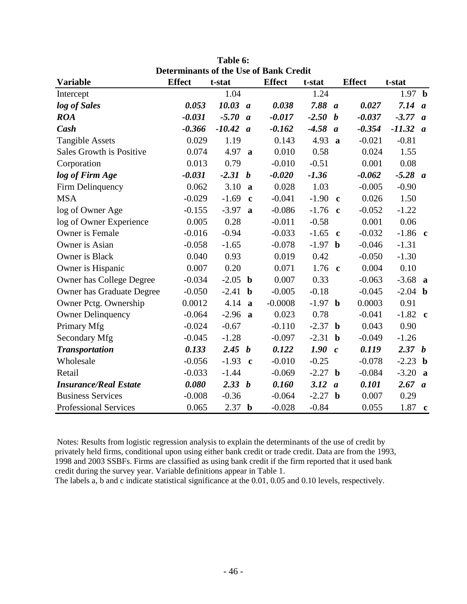|                              | miants of the Ose of Dank Creatt |                   |                  |               |                  |                  |               |                   |  |
|------------------------------|----------------------------------|-------------------|------------------|---------------|------------------|------------------|---------------|-------------------|--|
| <b>Variable</b>              | <b>Effect</b>                    | t-stat            |                  | <b>Effect</b> | t-stat           |                  | <b>Effect</b> | t-stat            |  |
| Intercept                    |                                  | 1.04              |                  |               | 1.24             |                  |               | 1.97 $\mathbf{b}$ |  |
| log of Sales                 | 0.053                            | $10.03 \text{ a}$ |                  | 0.038         | 7.88 a           |                  | 0.027         | $7.14\ a$         |  |
| <b>ROA</b>                   | $-0.031$                         | $-5.70$           | $\boldsymbol{a}$ | $-0.017$      | $-2.50$          | $\boldsymbol{b}$ | $-0.037$      | $-3.77 a$         |  |
| Cash                         | $-0.366$                         | $-10.42 a$        |                  | $-0.162$      | $-4.58$          | $\boldsymbol{a}$ | $-0.354$      | $-11.32 \ a$      |  |
| <b>Tangible Assets</b>       | 0.029                            | 1.19              |                  | 0.143         | 4.93             | $\mathbf{a}$     | $-0.021$      | $-0.81$           |  |
| Sales Growth is Positive     | 0.074                            | 4.97              | a                | 0.010         | 0.58             |                  | 0.024         | 1.55              |  |
| Corporation                  | 0.013                            | 0.79              |                  | $-0.010$      | $-0.51$          |                  | 0.001         | 0.08              |  |
| log of Firm Age              | $-0.031$                         | $-2.31 b$         |                  | $-0.020$      | $-1.36$          |                  | $-0.062$      | $-5.28 a$         |  |
| Firm Delinquency             | 0.062                            | 3.10              | $\mathbf{a}$     | 0.028         | 1.03             |                  | $-0.005$      | $-0.90$           |  |
| <b>MSA</b>                   | $-0.029$                         | $-1.69$           | $\mathbf c$      | $-0.041$      | $-1.90$          | $\mathbf c$      | 0.026         | 1.50              |  |
| log of Owner Age             | $-0.155$                         | $-3.97$           | $\mathbf{a}$     | $-0.086$      | $-1.76$          | $\mathbf c$      | $-0.052$      | $-1.22$           |  |
| log of Owner Experience      | 0.005                            | 0.28              |                  | $-0.011$      | $-0.58$          |                  | 0.001         | 0.06              |  |
| Owner is Female              | $-0.016$                         | $-0.94$           |                  | $-0.033$      | $-1.65$          | $\mathbf c$      | $-0.032$      | $-1.86$ c         |  |
| Owner is Asian               | $-0.058$                         | $-1.65$           |                  | $-0.078$      | $-1.97$          | $\mathbf b$      | $-0.046$      | $-1.31$           |  |
| Owner is Black               | 0.040                            | 0.93              |                  | 0.019         | 0.42             |                  | $-0.050$      | $-1.30$           |  |
| Owner is Hispanic            | 0.007                            | 0.20              |                  | 0.071         | 1.76             | $\mathbf c$      | 0.004         | 0.10              |  |
| Owner has College Degree     | $-0.034$                         | $-2.05$ <b>b</b>  |                  | 0.007         | 0.33             |                  | $-0.063$      | $-3.68$ a         |  |
| Owner has Graduate Degree    | $-0.050$                         | $-2.41$           | b                | $-0.005$      | $-0.18$          |                  | $-0.045$      | $-2.04$ <b>b</b>  |  |
| Owner Pctg. Ownership        | 0.0012                           | 4.14              | a                | $-0.0008$     | $-1.97$          | $\mathbf b$      | 0.0003        | 0.91              |  |
| <b>Owner Delinquency</b>     | $-0.064$                         | $-2.96$           | $\mathbf{a}$     | 0.023         | 0.78             |                  | $-0.041$      | $-1.82$ c         |  |
| Primary Mfg                  | $-0.024$                         | $-0.67$           |                  | $-0.110$      | $-2.37$          | $\mathbf b$      | 0.043         | 0.90              |  |
| Secondary Mfg                | $-0.045$                         | $-1.28$           |                  | $-0.097$      | $-2.31$          | $\mathbf b$      | $-0.049$      | $-1.26$           |  |
| <b>Transportation</b>        | 0.133                            | 2.45 b            |                  | 0.122         | 1.90             | $\boldsymbol{c}$ | 0.119         | 2.37 b            |  |
| Wholesale                    | $-0.056$                         | $-1.93$           | $\mathbf c$      | $-0.010$      | $-0.25$          |                  | $-0.078$      | $-2.23$ <b>b</b>  |  |
| Retail                       | $-0.033$                         | $-1.44$           |                  | $-0.069$      | $-2.27$          | $\mathbf b$      | $-0.084$      | $-3.20$ a         |  |
| <b>Insurance/Real Estate</b> | 0.080                            | 2.33 b            |                  | 0.160         | 3.12             | $\boldsymbol{a}$ | 0.101         | 2.67 a            |  |
| <b>Business Services</b>     | $-0.008$                         | $-0.36$           |                  | $-0.064$      | $-2.27$ <b>b</b> |                  | 0.007         | 0.29              |  |
| <b>Professional Services</b> | 0.065                            | 2.37 $b$          |                  | $-0.028$      | $-0.84$          |                  | 0.055         | 1.87 c            |  |

**Table 6: Determinants of the Use of Bank Credit**

Notes: Results from logistic regression analysis to explain the determinants of the use of credit by privately held firms, conditional upon using either bank credit or trade credit. Data are from the 1993, 1998 and 2003 SSBFs. Firms are classified as using bank credit if the firm reported that it used bank credit during the survey year. Variable definitions appear in Table 1.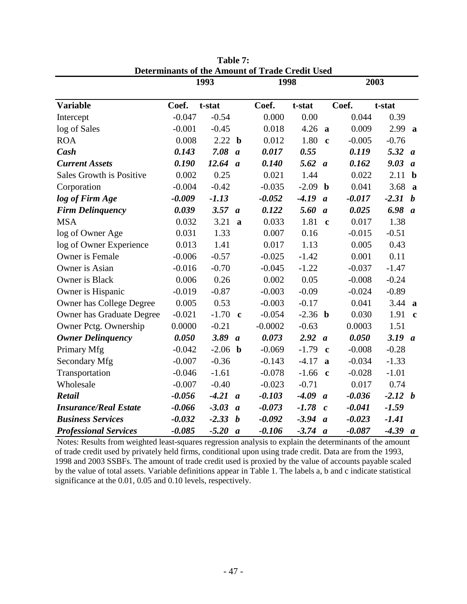|                                 | 1993     |         |                  | 1998      |         |                   | 2003     |           |                  |
|---------------------------------|----------|---------|------------------|-----------|---------|-------------------|----------|-----------|------------------|
| <b>Variable</b>                 | Coef.    | t-stat  |                  | Coef.     | t-stat  |                   | Coef.    | t-stat    |                  |
| Intercept                       | $-0.047$ | $-0.54$ |                  | 0.000     | 0.00    |                   | 0.044    | 0.39      |                  |
| log of Sales                    | $-0.001$ | $-0.45$ |                  | 0.018     | 4.26    | a                 | 0.009    | 2.99 a    |                  |
| <b>ROA</b>                      | 0.008    | 2.22    | $\mathbf b$      | 0.012     | 1.80    | $\mathbf c$       | $-0.005$ | $-0.76$   |                  |
| Cash                            | 0.143    | 7.08    | $\boldsymbol{a}$ | 0.017     | 0.55    |                   | 0.119    | 5.32      | $\boldsymbol{a}$ |
| <b>Current Assets</b>           | 0.190    | 12.64   | $\boldsymbol{a}$ | 0.140     | 5.62    | $\boldsymbol{a}$  | 0.162    | 9.03      | $\boldsymbol{a}$ |
| Sales Growth is Positive        | 0.002    | 0.25    |                  | 0.021     | 1.44    |                   | 0.022    | 2.11      | $\mathbf b$      |
| Corporation                     | $-0.004$ | $-0.42$ |                  | $-0.035$  | $-2.09$ | $\mathbf b$       | 0.041    | 3.68      | a                |
| log of Firm Age                 | $-0.009$ | $-1.13$ |                  | $-0.052$  | $-4.19$ | $\boldsymbol{a}$  | $-0.017$ | $-2.31$   | $\bm{b}$         |
| <b>Firm Delinquency</b>         | 0.039    | 3.57    | $\boldsymbol{a}$ | 0.122     | 5.60    | $\boldsymbol{a}$  | 0.025    | 6.98      | $\boldsymbol{a}$ |
| <b>MSA</b>                      | 0.032    | 3.21    | a                | 0.033     | 1.81    | $\mathbf c$       | 0.017    | 1.38      |                  |
| log of Owner Age                | 0.031    | 1.33    |                  | 0.007     | 0.16    |                   | $-0.015$ | $-0.51$   |                  |
| log of Owner Experience         | 0.013    | 1.41    |                  | 0.017     | 1.13    |                   | 0.005    | 0.43      |                  |
| Owner is Female                 | $-0.006$ | $-0.57$ |                  | $-0.025$  | $-1.42$ |                   | 0.001    | 0.11      |                  |
| Owner is Asian                  | $-0.016$ | $-0.70$ |                  | $-0.045$  | $-1.22$ |                   | $-0.037$ | $-1.47$   |                  |
| Owner is Black                  | 0.006    | 0.26    |                  | 0.002     | 0.05    |                   | $-0.008$ | $-0.24$   |                  |
| Owner is Hispanic               | $-0.019$ | $-0.87$ |                  | $-0.003$  | $-0.09$ |                   | $-0.024$ | $-0.89$   |                  |
| <b>Owner has College Degree</b> | 0.005    | 0.53    |                  | $-0.003$  | $-0.17$ |                   | 0.041    | 3.44 $a$  |                  |
| Owner has Graduate Degree       | $-0.021$ | $-1.70$ | $\mathbf c$      | $-0.054$  | $-2.36$ | $\mathbf b$       | 0.030    | 1.91      | $\mathbf c$      |
| Owner Pctg. Ownership           | 0.0000   | $-0.21$ |                  | $-0.0002$ | $-0.63$ |                   | 0.0003   | 1.51      |                  |
| <b>Owner Delinquency</b>        | 0.050    | 3.89    | $\boldsymbol{a}$ | 0.073     | 2.92    | $\boldsymbol{a}$  | 0.050    | $3.19\ a$ |                  |
| Primary Mfg                     | $-0.042$ | $-2.06$ | b                | $-0.069$  | $-1.79$ | $\mathbf c$       | $-0.008$ | $-0.28$   |                  |
| Secondary Mfg                   | $-0.007$ | $-0.36$ |                  | $-0.143$  | $-4.17$ | a                 | $-0.034$ | $-1.33$   |                  |
| Transportation                  | $-0.046$ | $-1.61$ |                  | $-0.078$  | $-1.66$ | $\mathbf c$       | $-0.028$ | $-1.01$   |                  |
| Wholesale                       | $-0.007$ | $-0.40$ |                  | $-0.023$  | $-0.71$ |                   | 0.017    | 0.74      |                  |
| <b>Retail</b>                   | $-0.056$ | $-4.21$ | $\boldsymbol{a}$ | $-0.103$  | $-4.09$ | $\boldsymbol{a}$  | $-0.036$ | $-2.12 b$ |                  |
| <b>Insurance/Real Estate</b>    | $-0.066$ | $-3.03$ | $\boldsymbol{a}$ | $-0.073$  | $-1.78$ | $\mathcal{C}_{0}$ | $-0.041$ | $-1.59$   |                  |
| <b>Business Services</b>        | $-0.032$ | $-2.33$ | $\boldsymbol{b}$ | $-0.092$  | $-3.94$ | $\boldsymbol{a}$  | $-0.023$ | $-1.41$   |                  |
| <b>Professional Services</b>    | $-0.085$ | $-5.20$ | $\boldsymbol{a}$ | $-0.106$  | $-3.74$ | $\boldsymbol{a}$  | $-0.087$ | $-4.39$   | $\boldsymbol{a}$ |

**Table 7: Determinants of the Amount of Trade Credit Used**

Notes: Results from weighted least-squares regression analysis to explain the determinants of the amount of trade credit used by privately held firms, conditional upon using trade credit. Data are from the 1993, 1998 and 2003 SSBFs. The amount of trade credit used is proxied by the value of accounts payable scaled by the value of total assets. Variable definitions appear in Table 1. The labels a, b and c indicate statistical significance at the 0.01, 0.05 and 0.10 levels, respectively.